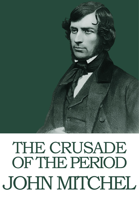# THE CRUSADE OF THE PERIOD JOHN MITCHEL

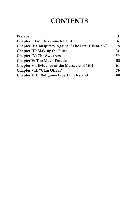## **CONTENTS**

| Preface                                                     | 3  |
|-------------------------------------------------------------|----|
| <b>Chapter I: Froude versus Ireland</b>                     | 4  |
| <b>Chapter II: Conspiracy Against "The First Historian"</b> | 18 |
| <b>Chapter III: Making the Issue</b>                        | 31 |
| <b>Chapter IV: The Swearers</b>                             | 39 |
| <b>Chapter V: Too Much Froude</b>                           | 52 |
| <b>Chapter VI: Evidence of the Massacre of 1641</b>         | 64 |
| Chapter VII: "Clan Oliver"                                  | 76 |
| <b>Chapter VIII: Religious Liberty in Ireland</b>           | 88 |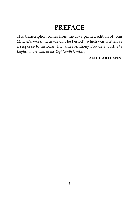## **PREFACE**

This transcription comes from the 1878 printed edition of John Mitchel's work "Crusade Of The Period", which was written as a response to historian Dr. James Anthony Froude's work *The English in Ireland, in the Eighteenth Century.*

#### **AN CHARTLANN.**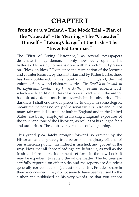## **CHAPTER I**

### **Froude** *versus* **Ireland – The Mock Trial – Plan of the "Crusade" – Its Meaning – The "Crusader" Himself – "Taking Charge" of the Irish – The "Invented Commas."**

The "First of Living Historians," as several newspapers designate this gentleman, is only now really opening his batteries. He has by no means done with his victim, but presses on, "blow on blow." Even since the termination of the lectures and counter lectures, by the Historian and by Father Burke, there has been published, in this country and in England, the first volume of a new and elaborate work: – *The English in Ireland, in the Eighteenth Century: By James Anthony Froude, M.A.,* a work which sheds additional darkness on a subject which the author has already done much to overwhelm in obscurity. This darkness I shall endeavour presently to dispel in some degree. Meantime the pens not only of national writers in Ireland, but of many fair-minded journalists both in England and in the United States, are busily employed in making indignant exposures of the spirit and tone of the Historian, as well as of his alleged facts and authorities. The controversy, then, is only beginning.

This grand plea, lately brought forward so gravely by the Historian, and as gravely tried before the imaginary tribunal of our American public, this indeed is finished, and got out of the way. Now that all those pleadings are before us, as well as the fresh and formidable indictment set forth in the new book, it may be expedient to review the whole matter. The lectures are carefully reported on either side, and the reports are doubtless generally correct; but still (at least so far as Mr. Froude's share in them is concerned,) they do not seem to have been revised by the author and published as his very words, so that you cannot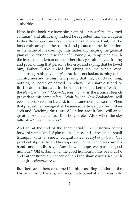absolutely hold him to words, figures, dates, and citations of authorities.

Here, in this book, we have him, with his *litera scripta*, "inverted commas" and all. It may indeed be regretted that the eloquent Father Burke gave any countenance to the Sham Trial; that he innocently accepted the tribunal and pleaded to the declaration, in the name of his country; thus materially helping the general plan of the crusade: also that, after bandying compliments with the learned gentleman on the other side, gratuitously affirming and proclaiming that person's honesty, and saying that he loved him, Father Burke ended by giving up the whole case, concurring in his adversary's practical conclusion, turning to his countrymen and telling them plainly that they can do nothing, nothing, at home or abroad, to relieve their native island of British domination; and in short that they had better "wait for the *New Zealander*!" "*Attendez sous l'orme*" is the ironical French proverb to this same effect. "Wait for the New Zealander" will become proverbial in Ireland, in the same derisive sense. When that predestined savage shall be seen squatting upon the. broken arch and sketching the ruins of London, *then* Ireland will arise, great, glorious, and free, first flower, etc.! Also, when the sky falls, shan't we have larks?

And so, at the end of the sham "trial," the Historian comes forward with a kind of playful insolence, and seizes on his small triumph with a sneer; congratulates everybody that "for practical objects" he and his opponent are agreed, offers him his hand, and kindly says, "any how, I hope we part in good humour." Oh! certainly; all the good humour in life, so far as he and Father Burke are concerned: and the sham court rises, with a laugh – *solvuntur risu*.

But there are others concerned in this crusading mission of the Historian. And there is, and was, no tribunal at all: it was only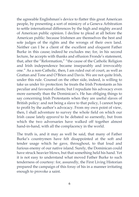the agreeable Englishman's device to flatter this great American people, by presenting a sort of mimicry of a Geneva Arbitration to settle international differences by the high and mighty award of American public opinion. I decline to plead at all before the American public: because Irishmen are themselves the best and sole judges of the rights and the wrongs of their own land. Neither can I be a client of the excellent and eloquent Father Burke in this cause; indeed he excludes me; for, in his second lecture, he accepts with thanks and effusion Fronde's statement, that, after the "Reformation," "the cause of the Catholic Religion and Irish independence became inseparably and irrevocably one." As a non-Catholic, then, I am ruled out of court, as well as Grattan and Tone and O'Brien and Davis. We are not quite Irish, under this rule. Counsel on the other side, indeed, is willing to take us under *his* protection: he treats the Irish Protestants as his peculiar and favoured clients; but I repudiate his advocacy even more earnestly than the Dominican's. He has obliging things to say concerning Irish Protestants when they are useful slaves of British policy: and not being a slave to that policy, I cannot hope to profit by the author's advocacy. From my own point of view, then, I shall adventure to survey the whole field on which our Irish cause lately *appeared* to be debated so earnestly, but from which the two adversaries have walked off together almost hand-in-hand, with all the complacency in the world.

The truth is, and it may as well be said, that many of Father Burke's countrymen have felt disappointed at the soft and tender usage which he gave, throughout, to that loud and furious enemy of our native island. Surely, the Dominican could have struck heavier blows, but that something held his hand. Yet it is not easy to understand what moved Father Burke to such tenderness of courtesy: for, assuredly, the First Living Historian prepared the campaign of this foray of his in a manner irritating enough to provoke a saint.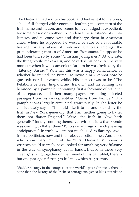The Historian had written his book, and had sent it to the press, a book full charged with venomous loathing and contempt of the Irish name and nation; and seems to have judged it expedient, for some reason or another, to condense the substance of it into lectures, and to come over and discharge them in American cities, where he supposed he would be sure of a favourable hearing for any abuse of Irish and Catholics amongst the preponderating masses of American Protestants. I suppose he had been told so by some "Christian young men." At any rate, the thing would make a stir, and advertise his book. At the very moment when it was convenient for him he was invited by the "Literary Bureau." Whether this was a happy coincidence, or whether he invited the Bureau to invite him -, cannot now be guessed; nor is it worth while. His subject was to be "The Relations between England and Ireland;" and his coming was heralded by a pamphlet containing first a facsimile of his letter of acceptance, and then many pages presenting selected passages from his works, entitled "Gems from Fronde." This pamphlet was largely circulated gratuitously. In the letter he considerately says – "I should like it to be understood by the Irish in New York generally, that I am neither going to flatter them nor flatter England." Were "the Irish in New York generally" fondly soothing themselves with the idea that Fronde was coming to flatter them? Who saw any sign of such pleasing anticipations? In truth, we are not much used to flattery, save – from a politician, now and then, about election times. And those who know very much of the "First Historian's" previous writings could scarcely have looked for anything very fulsome in the way of sycophancy at his hands. Indeed in these very "Gems," strung together on the thread of this pamphlet, there is but one passage referring to Ireland, which begins thus –

"Sadder history, in the compass of the world's great chronicle, there is none than the history of the Irish: so courageous, yet so like cowards: so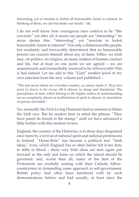interesting, yet so resolute to forfeit all honourable claims to interest. In thinking of them, we can but shake our heads," etc.

I do not well know how courageous men contrive to be "like cowards:" yet after all, it seems our people are "interesting:" he never denies this: "interesting" yet "resolute to forfeit honourable claims to interest!" Not only a dishonourable people, but resolutely and irrevocably determined that no honourable person can concern himself about any of them. Differ, we Irish may, on politics, on religion, on many matters of human conduct and life, but at least on one point we are agreed – we are unanimously and irremediably resolved to be *dishonourable*! This is bad indeed. Let me add to this "Gem" another jewel of my own selection from the new volume just published –

"The sun never shone on a lovelier country, as nature made it. Th*ey have pared its forests to the stump*, till it shivers in damp and desolation. The perceptions of taste which belong to the higher orders of understanding are as completely absent as truthfulness of spirit is absent, or cleanliness of person and habit."

No: assuredly the First Living Historian had no mission to flatter the Irish race. But let readers bear in mind the phrase, "They have pared its forests to the stump," until we have advanced a little further with this modest review.

England, the country of the Historian, is in these days disquieted once more by a revival of national spirit and national pretensions in Ireland. "Home-Rule" has become a political test. "Irish ideas," even, which England has so often before felt it her duty to stifle in blood – these very Irish ideas are now again put forward as the only just basis on which the island should be governed: and, worse than all, many of the best of the Protestants are cordially uniting with their Catholic fellowcountrymen in demanding some approach to self-government. British policy had often been interfered with by such demonstrations before; and had usually, at least since the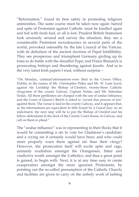"Reformation," found its best safety in promoting religious animosities. The same course must be taken now again: hatred and spite of Protestant against Catholic must be kindled again and fed with fresh fuel, or all is lost. Prudent British Statesmen look anxiously around and survey the situation; they see a considerable Protestant recrudescence in several parts of the world, provoked ostensibly by the late Council of the Vatican, with its definition of the ancient doctrine of Papal Infallibility. They see prosperous and triumphant Germany girding up its loins to do battle with the dreadful Pope; and Prince Bismarck is prosecuting bishops and thundering against Jesuits. And so in the very latest Irish papers I read, without surprise –

"On Monday, criminal informations were filed in the Crown Office, Dublin, in the names of Mr. Christopher Palles and Mr. W. Lane Joynt, against his Lordship the Bishop of Clonfert, twenty-three Catholic clergymen of the county Galway, Captain Nolan, and Mr. Sebastian Nolan. All these gentlemen are charged with the use of undue influence, and the Court of Queen's Bench is asked to 'award due process of law' against them. The venue is laid in the county Galway, and it appears that, as the informations are equivalent to bills found by a Grand Jury on an indictment, the next step will be to put the Bishop of Clonfert and his fellow-defendants in the dock of the County Court-house, in Galway, and call on them to plead."

The "undue influence" was in representing to their flocks that it would be committing a sin to vote for Gladstone's candidate: and a crying sin it certainly would have been; and who could more properly warn them against sin than their clergy? However, the prosecution itself will excite spite and rage, unmanly exultation amongst the Orangemen, bitter and vindictive wrath amongst the Catholics; and thus a great point is gained, to begin with. Next, it is at any time easy to create exasperation amongst the more ignorant Protestants, by pointing out the so-called presumption of the Catholic Church; and facilities are given to carry on the unholy work of lashing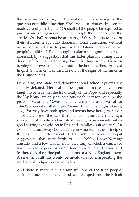the two parties to fury by the agitation now existing on the question of public education. Shall the education of children be made carefully irreligious? Or shall all the people be required to pay for an irreligious education, though they cannot use the article? Or shall parents be at liberty, if they choose, to give to their children a separate denominational education, without being compelled also to pay for the State-education of other people's children? Easy enough to alarm the ignorant persons aforesaid, by a suggestion that this latter plan is nothing but a device of the Jesuits to bring back the Inquisition. Then, in turning their eyes anxiously around the horizon, those prudent English Statesmen take careful note of the signs of the times in the United States.

Here, also, the State and denominational school systems are eagerly debated. Here, also, the ignorant masses have been taught to believe that the Infallibility of the Pope, and especially the "Syllabus" are only an insidious machinery for troubling the peace of States and Governments, and making us all vassals to "the Woman who sitteth upon Seven Hills." The English know, also, (for they have both spies and agents busy here,) that, ever since the close of the war, there has been gradually reviving a strong, anti-Catholic and anti-Irish feeling, which awaits only a good stirring example, set in England, to follow suit as usual. An excitement can always be stirred up in America on this principle. It was the "Ecclesiastical Titles Act" to restrain Papal Aggression, that gave birth to our shabby Know-Nothing crusade; and a few bloody riots were duly enacted, a church or two wrecked, a good priest "ridden on a rail," and tarred and feathered by the principal inhabitants of a New England town. A renewal of all this would be invaluable for exasperating the so-desirable religious rage in Ireland.

And there is more in it. Certain millions of the Irish people, extirpated out of their own land, and escaped from the British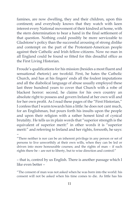famines, are now dwelling, they and their children, upon this continent; and everybody knows that they watch with keen interest every National movement of their kindred at home, with the stern determination to bear a hand in the final settlement of that question. Nothing could possibly be more serviceable to Gladstone's policy than the successful arousing of strong dislike and contempt on the part of the Protestant-American people against their Catholic and Irish fellow-citizens. Now no man in all England could be found so fitted for this dreadful office as the First Living Historian.

Froude's qualifications for his mission (besides a most fluent and sensational rhetoric) are twofold. First, he hates the Catholic Church, and has at his fingers' ends all the foulest imputations and all the diabolical language of abuse usually employed these last three hundred years to cover that Church with a robe of blackest horror: second, he claims for his own country an absolute right to possess and govern Ireland at her own will and for her own profit. As I read these pages of the "First Historian," I confess that I warm towards him a little: he does not cant much, for an Englishman, but pours forth his insults upon the people and upon their religion with a rather honest kind of cynical brutality. He tells us in plain words that "superior strength is the equivalent of superior merit:" in other words it is "superior merit:" and referring to Ireland and her rights, forsooth, he says: –

– that is, control by us English. There is another passage which I like even better –

"The consent of man was not asked when he was born into the world: his consent will not be asked when his time comes to die. As little has his

<sup>&</sup>quot;There neither is nor can be an inherent privilege in any person or set of persons to live unworthily at their own wills, when they can be led or driven into more honourable courses; and the rights of man – if such rights there be – are not to liberty, but to wise direction and control:"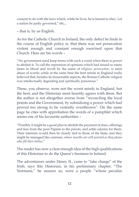consent to do with the laws which, while he lives, he is bound to obey. Let a nation be justly governed," etc.,

– that is, by us English.

As for the Catholic Church in Ireland, the only defect he finds in the course of English policy is, that there was not persecution violent enough and constant enough exercised upon that Church. Here are his words –

"No government need keep terms with such a creed when there is power to abolish it. To call the repression of opinions which had issued so many times in blood and revolt by the name of *religious persecution*, is mere abuse of words; while at the same time the best minds in England really believed that, besides its treasonable aspects, the Roman Catholic religion was intellectually degrading and spiritually poisonous."

These, you observe, were not the worst minds in England, but the best; and the Historian most heartily agrees with them. But the author is not altogether averse from "reconciling the loyal priests and the Government, by subsidizing a power which had proved too strong to be violently overthrown". On the same page he cites with approbation the words of a pamphlet which seems one of his favourite authorities –

"Possibly it might be a good plan to abolish the payment of dues, offerings and fees from the poor Papists to the priests, and settle salaries for them. Their interests would then be closely tied to those of the State, and they might be managed like cannons, *whose mouths are still pointed as they please who fill their bellies*."

The reader has now a clear enough idea of the high qualifications of this Historian to do the Queen's business in Ireland.

The adventurers under Henry II., came to "take charge" of the Irish, says this Historian, in his preliminary chapter. "The Normans," he assures us, were a people "whose peculiar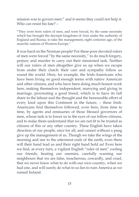mission was to govern men:" and it seems they could not help it. Who can resist his fate? –

"They were born rulers of men, and were forced, by the same necessity which has brought the decrepit kingdoms of Asia under the authority of England and Russia, to take the management, eight centuries ago, of the anarchic nations of Western Europe."

It was hard on the Norman people! For these poor devoted rulers of men were forced "by the same necessity," to do much forgery, perjury and murder to carry out their missioned task. Neither will our rulers of men altogether give us up when we escape from under their clutch: their care and sympathy follow us round the world. Here, for example, the Irish-Americans who have been living on good enough terms with native American and other citizens, and who have been doing much honest work here, making themselves independent, marrying and giving in marriage, procreating a good breed, which is to have its full share in the labour and the thought and the honourable effort of every kind upon this Continent in the future, – these Irish-Americans find themselves followed, even here, from time to time, by agents and emissaries of those blessed governors of men, whose task is to lower us in the eyes of our fellow-citizens, and to make them understand that we are not fit to be trusted as citizens of this or any other country. These English have taken direction of our people, once for all, and cannot without a pang give up the management of us. Though we take the wings of the morning and nee to the uttermost ends of the earth, even there will their hand lead us and their right hand hold us! Even here we find, at every turn, a vigilant English "ruler of men" cooling our friends, heating our enemies, carefully warning our neighbours that we are false, treacherous, cowardly, and cruel, that we never knew what to do with our own country, when we had one, and will surely do what in us lies to ruin America as we ruined Ireland.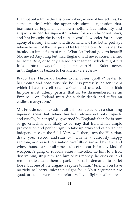I cannot but admire the Historian when, in one of his lectures, he comes to deal with the apparently simple suggestion that, inasmuch as England has shown nothing but imbecility and stupidity in her dealings with Ireland for seven hundred years, and has brought the island to be a world's wonder for its long agony of misery, famine, and discontent, she had better perhaps relieve herself of the charge and let Ireland alone. At this idea he breaks out into a foam of rage. What! let Ireland govern herself! No, never! Anything but that. England will never consent either to Home Rule, or to any altered arrangement which might put Ireland into the way of being able to extort Home Rule: – never, until England is beaten to her knees: *never! Never!*

Bravo! First Historian! Beaten to her knees, quotha? Beaten to her mouth and nose must she be. It is precisely the sentiment which I have myself often written and uttered. The British Empire must utterly perish, that is, be dismembered as an Empire, – or "Ireland must die a daily death, and suffer an endless martyrdom."

Mr. Froude seems to admit all this: confesses with a charming ingenuousness that Ireland has been always not only unjustly and cruelly, but stupidly, governed by England: that she is now so governed, and is likely to be: nay that Ireland has ample provocation and perfect right to take up arms and establish her independence on the field. Very well then, says the Historian, draw your sword and *come on*! This is a curiously happy sarcasm, addressed to a nation carefully disarmed by law, and whose houses are at all times subject to search for any kind of weapon. A gang of robbers seize a traveller, tie him to a tree, disarm him, strip him, rob him of his money: he cries out and remonstrates; calls them a pack of rascals, demands to be let loose: but one of the brigands replies to him; "Friend, you have no right to liberty unless you fight for it. Your arguments are good, are unanswerable: therefore, will you fight us all, there as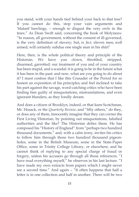you stand, with your hands tied behind your back to that tree? If you cannot do this, stop your vain arguments and 'blatant' bawlings, – enough to disgust the very owls in the trees." As Dean Swift said, concerning the book of Molyneux: "In reason, all government, without the consent of ill-governed, is the very definition of slavery; but, *in fact*, eleven men, well armed, will certainly subdue one single man in his shirt"

Here, then, is the whole political theory and principle of the Historian. We have you clown, throttled, stripped, disarmed, garrotted: our treatment of you and of your country has been stupid, and a scandal: it is going to be in the future what it has been in the past: and now, what are you going to do about it? I must confess that I like this Crusader of the Period for so honest an exposition of his principles; and feel inclined to take his part against the savage, word-catching critics who have been finding him guilty of misquotations, mistranslations, and even ignorant blunders, as they fondly dream.

And does a citizen of Brooklyn, indeed, or that keen Scotchman, Mr. Hosack, or the *Quarterly Review*, and "fifty others," do they, or does any of them, innocently imagine that they can corner the First Living Historian, by pointing out misquotations, falsified authorities and the like? The Historian defies them. He has composed his "History of England" from "perhaps two hundred thousand documents," and, with a calm irony, invites his critics to follow him through those two hundred thousand pigeonholes, some in the British Museum, some in the State-Paper Office, some in Trinity College Library, or elsewhere; and he cannot think of replying to any special charge of fraud or forgery, unless his accusers go through all those references. "I have read everything myself," he observes in his last lecture. "I have made my own extracts from papers which I might never see a second time." And again – "It often happens that half a letter is in one collection and half in another. There will be two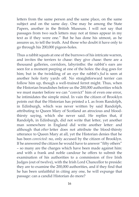letters from the same person and the same place, on the same subject and on the same day. One may be among the State Papers, another in the British Museum. I will not say that passages from two such letters may not at times appear in my text as if they were one." But he has done his utmost, as he assures us, to tell the truth. And those who doubt it have only to go through his 200,000 pigeon-holes.

Thus a rabbit squats at one of the burrows of his intricate warren, and invites the terriers to chase: they give chase: there are a thousand galleries, corridors, labyrinths: the rabbit's ears are seen for a moment peeping at one of the holes: the dog goes for him; but in the twinkling of an eye the rabbit's *fud* is seen at another hole forty yards off. No straightforward terrier can follow him up, though a well-trained ferret might. Thus, when the Historian brandishes before us the 200,000 authorities which we must master before we can "convict" him of even one error, he intimidates the simple mind. In vain the citizen of Brooklyn points out that the Historian has printed a L as from Randolph, in Edinburgh, which was never written by said Randolph, attributing to Queen Mary of Scotland an atrocious and bloodthirsty saying, which she never said. He replies that, if Randolph, in Edinburgh, did not write that letter, yet another man somewhere in England did write another letter: and although that *other* letter does not attribute the blood-thirsty utterance to Queen Mary at all, yet the Historian denies that he has been *convicted*: no, only accused by the citizen of Brooklyn. If he answered the citizen he would have to answer "fifty others" – so many are the charges which have been made against him: and with a frank and noble candour he offers to submit the examination of his authorities to a commission of five Irish Judges (out of twelve), with the Irish Lord Chancellor to preside: they are to examine the 200,000 authorities, and if they find that he has been unfaithful in citing any one, he will expunge that passage: can a candid Historian do more?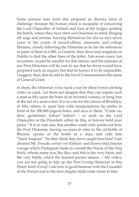Some persons may term this proposal an illusory kind of challenge: because the human mind is incapable of conceiving the Lord Chancellor of Ireland and four of the Judges quitting the bench, where they have their own business to mind, flinging off wigs and ermine, burying themselves for (let us say) seven years in the crypts of record-offices, museums and college libraries, closely following the Historian as he fits his references or parts of them to a MS. in London, then dives and reappears in Dublin to find the other lines of the letter. Not seven years, but seventeen, would be needful for this labour: and the enemies of our First Historian will be sure to say that he never would have proposed such an inquiry but that he knows it to be impossible. I suggest, then, that he add to the list of Commissioners the name of General Grant.

In short, the Historian is too hard a nut for these word-catching critics to crack. Let them not imagine that they can impale such a man as this upon the horn of an inverted comma, or hang him at the tail of a semi-colon. It is in vain for the citizen of Brooklyn, or fifty others, to taunt him with misquotations; he smiles in front of his 200,000 pigeon-holes, and says to them, "Come on, then, gentlemen, follow! follow! – or send on the Lord Chancellor or the President: either do this, or forever hold your peace." It is in vain also that another small critic points out how the First Historian, having occasion to refer to the oil-bottle of Rheims, speaks of the bottle as a man, and calls him "Saint Ampoul." Do they think they have caught him here! Vain dreams! Mr. Froude *connait son Rabelais*: and knows that famous voyage which Pantagruel made to consult the Oracle of the *Holy Bottle*, whose name was Bac-Buc; and this is the very Saint, and the very bottle, which the learned person means. – Ah! critics, you are not going to trip up the First Living Historian in this flimsy kind of way! I am now in good humour with the Crusader of the Period and in the next chapter shall come closer to him.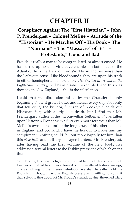# **CHAPTER II**

### **Conspiracy Against The "First Historian" – John P. Prendergast – Colonel Meline – Attitude of the "Historian" – He Marches Off – His Book – The "Normans" – The "Massacre" of 1641 – "Protestants," Good and Bad.**

Froude is really a man to be congratulated, or almost envied. He has stirred up hosts of vindictive enemies on both sides of the Atlantic. He is the Hero of Two Worlds, in another sense than the Lafayette sense. Like bloodhounds, they are upon his track in either hemisphere; his new book, *The English in Ireland in the Eighteenth Century*, will have a sale unexampled: and this – as they say in New England, – this is the calculation.

I said that the discussion raised by the Crusader is only beginning. Now it grows hotter and fiercer every day. Not only that fell critic, the bulldog "Citizen of Brooklyn," holds our Historian fast, with a grip like death, but I find that Mr. Prendergast, author of the "Cromwellian Settlement," has fallen upon Historian Fronde with a fury even more ferocious than Mr. Meline's own; not counting the long array of his other enemies in England and Scotland. I have the honour to make him my compliment. Nothing could fall out more happily for him than this *view-hallo* and full cry of eager hunters. Mr. Prendergast, after having read the first volume of the new book, has addressed several letters to the Dublin press; one of which opens thus –

"Mr. Froude, I believe, is lighting a fire that he has little conception of. Deep as our hatred has hitherto been at our unparalleled historic wrongs, it is as nothing to the intense detestation we shall hereafter hold the English in. Though the vile English press are unwilling to commit themselves to the support of Mr. Froude's crusade against the exiled Irish,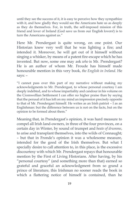until they see the success of it, it is easy to perceive how they sympathize with it, and how gladly they would see the Americans hate us as deeply as they do themselves. For, in truth, the self-imposed mission of this friend and lover of Ireland (God save us from our English lovers!) is to turn the Americans against us."

Here Mr. Prendergast is quite wrong, on one point. Our Historian knew very well that he was lighting a fire; and intended it. Moreover, he will get out of it himself without singing a whisker, by means of a patent fire-escape which he has invented. But now, some one may ask *who* is Mr. Prendergast? He is an author of whom Mr. Froude has himself made honourable mention in this very book, *the English in Ireland*. He says: –

"I cannot pass over this part of my narrative without making my acknowledgments to Mr. Prendergast, to whose personal courtesy I am deeply indebted, and to whose impartiality and candour in his volume on the Cromwellian Settlement I can offer no higher praise than by saying that the perusal of it has left on my mind an impression precisely opposite to that of Mr. Prendergast himself. He writes as an Irish patriot – I as an Englishman: but the difference between us is not on the facts, but on the opinion to be formed about them."

Meaning that, in Prendergast's opinion, it was hard measure to compel all Irish land-owners, in three of the four provinces, on a certain day in Winter, by sound of trumpet and *beate of drumme*, to arise and transplant themselves, into the wilds of Connaught; – but that in Fronde's opinion it was a wholesome measure, intended for the good of the Irish themselves. But what I specially desire to call attention to, in this place, is the excessive discourtesy with which Mr. Prendergast repays that honourable mention by the First of Living Historians. After having, by his "personal courtesy" (and something more than that) earned so grateful and graceful an acknowledgment from so grand a prince of literature, this Irishman no sooner reads the book in which a flattering notice of himself is contained, than he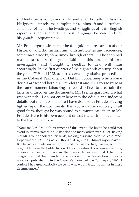suddenly turns rough and rude, and even brutally barbarous. He ignores entirely the compliment to himself; and is perhaps ashamed of it. "The twistings and wrigglings of this English viper" – such is about the best language he can find for his *quondam* acquaintance.

Mr. Prendergast admits that he did guide the researches of our Historian, and did furnish him with authorities and references, sometimes directly, sometimes through others. But he soon had reason to doubt the good faith of this ardent historic investigator, and thought it needful to deal with him accordingly. In the first quarter of the eighteenth century, about the years 1719 and 1723, occurred certain legislative proceedings in the Colonial Parliament of Dublin, concerning which some doubts arose; and both Mr. Prendergast and Mr. Froude were at the same moment labouring in record offices to ascertain the facts, and discover the documents. Mr. Prendergast found what was wanted; – I do not enter here into the odious and indecent details; but must do so before I have done with Froude. Having lighted upon the documents, the laborious Irish scholar, in all good faith, thought he was bound to communicate them to Mr. Froude. Here is his own account of that matter in his late letter to the Irish journals: –

"Now for Mr. Froude's treatment of this event. He knew he could not avoid it, or mis-state it, as he has done so many other events. For, having met Mr. Froude shortly afterwards, making his searches in the State Paper Department at Dublin Castle, I thought it right to tell him of my discovery. But he was already aware, so he told me, of the fact, having seen the original letter in the Public Record Office, London. There was something, however, so extraordinary in the man's demeanour that I had my misgivings that he intended to *misdeal* with the transaction in some way; so I published it in the *Freeman's Journal* of the 28th April, 1871. I confess I had great curiosity to see how he would treat the matter in these circumstances."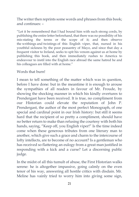The writer then reprints some words and phrases from this book; and continues: –

"Let it be remembered that I had bound him with such strong cords, by publishing the entire letter beforehand, that there was no possibility of his mis-stating the terms or the scope of it; and then observe the writhings and twistings of this English viper, that, nursed in his youthful sickness by the poor peasantry of Mayo, and since that day a frequent visitor to Ireland, seeks to spit his venom against us at home by publishing this book, and then immediately rushes to America to endeavour to instil into the English race abroad the same hatred he and his colleagues are filled with at home."

#### Words that burn!

I mean to tell something of the matter which was in question, before I have done: but in the meantime it is enough to arouse the sympathies of all readers in favour of Mr. Froude, by showing the shocking manner in which his kindly overtures to Prendergast have been received. It is true, no compliment from our Historian could elevate the reputation of John P. Prendergast, the author of the most perfect Monograph, of one special and cardinal point in our Irish history: but still it seems hard that the recipient of so pretty a compliment, should have no better return to make than refusing the courtesy with both his hands, saying, "Keep off, you English viper!" Is the time indeed come when these generous tributes from one literary man to another, which give such a grace and charm to the intercourse of lofty intellects, are to become of no account? Is a gentleman who has received so flattering an eulogy from a great man justified in responding with a kick and a curse? Let a discerning public judge.

In the midst of all this tumult of abuse, the First Historian walks serene: he is altogether impassive, going calmly on the even tenor of his way, answering all hostile critics with disdain. Mr. Meline has vainly tried to worry him into giving some sign,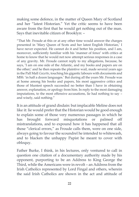making some defence, in the matter of Queen Mary of Scotland and her "latest Historian." Yet the critic seems to have been aware from the first that he would get nothing out of the man. Says that inevitable citizen of Brooklyn: –

"That Mr. Froude at this or at any other time would answer the charges presented in 'Mary Queen of Scots and her latest English Historian,' I have never expected. He cannot do it and better his position, and I am, moreover, sufficiently familiar with his 'manner of fence' with critics at home to know that he would not now attempt serious responses in a case of any gravity. Mr. Froude cannot reply to my allegations, because, he says, 'I am on one side of the Atlantic, and my books and papers are on the other;' and he then repeats the plaintive wail, made several years ago in the Pall Mall *Gazette*, touching his gigantic labours with documents and MSS. 'in half a dozen languages.' But during all the years Mr. Froude was at home among his books and papers, his most aggressive critics and those of bluntest speech succeeded no better than I have in obtaining answer, explanation, or apology from him. In reply to the most damaging imputations, to the most offensive accusations, lie had nothing to say – and wisely, said nothing."

It is an attitude of grand disdain: but implacable Meline does not like it: lie would prefer that the Historian would be good enough to explain some of those very numerous passages in which he has brought forward misquotations or palmed off mistranslations, and to expound how it has happened that all those "clerical errors," as Froude calls them, were on one side, always going to favour the scoundrel he intended to whitewash, and to blacken the unhappy Papist he meant to cover with obloquy.

Father Burke, I think, in his lectures, only ventured to call in question one citation of a documentary authority made by his opponent, purporting to be an Address to King George the Third, while the Americans were in revolt – an Address from the Irish Catholics represented by Lord Fingal and others, wherein the said Irish Catholics are shown in the act and attitude of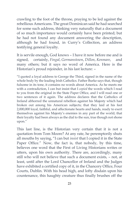crawling to the foot of the throne, praying to be led against the rebellious Americans. The great Dominican said he had searched for some such address, thinking very naturally that a document of so much importance would certainly have been printed; but he had not found any document answering the description, although he had found, in Curry's Collection, an address testifying general loyalty.

It is servile enough, God knows – I have it now before me and is signed, certainly, *Fingal*, *Gormanstown*, *Dillon*, *Kenmare*, and many others; but it says no word of America. Here is the Historian's proud rejoinder, in his last lecture: –

"I quoted a loyal address to George the Third, signed in the name of the whole body by the leading Irish Catholics. Father Burke says that, though fulsome in its tone, it contains no words about America. As he meets me with a contradiction, I can but insist that I *copied* the words which I read to you from the original in the State Paper Office, and I will read one or two sentences of it again. The address declares that the Catholics of Ireland abhorred the unnatural rebellion against his Majesty which had broken out among his American subjects; that they laid at his feet 2,000,000 loyal, faithful, and affectionate hearts and hands, ready to exert themselves against his Majesty's enemies in any part of the world; that their loyalty had been always as the dial to the sun, true though not shone upon."

This last line, is the Historian very certain that it is not a quotation from Tom Moore? At any rate, he peremptorily shuts all mouths by saying, "I can but *insist* that I copied it in the State Paper Office." Now, the fact is, that nobody, by this time, believes one word that the First of Living Historians writes or utters, upon his own authority. There are, accordingly, many still who will not believe that such a document exists, – not, at least, until after the Lord Chancellor of Ireland and the Judges have exhibited a certified copy of it, in the Chancery Office, Four Courts, Dublin. With his head high, and lofty disdain upon his countenance, this haughty creature thus finally brushes off the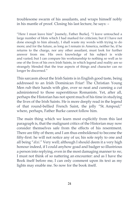troublesome swarm of his assailants, and wraps himself nobly in his mantle of proof. Closing his last lecture, he says: –

"Here I must leave him" [namely, Father Burke]. "I leave untouched a large number of blots which I had marked for criticism; but if I have not done enough to him already, I shall waste my words with trying to do more; and for the future, as long as I remain in America, neither he, if he returns to the charge, nor any other assailant, must look for further answer from me. His own knowledge of his subject is wide and varied; but I can compare his workmanship to nothing so well as to one of the lives of his own Irish Saints, in which legend and reality are so strangely blended that the true aspects of things and character can no longer be discerned."

This sarcasm about the Irish Saints is in English good taste, being addressed to an Irish Dominican Friar! The Christian Young Men rub their hands with glee, over so neat and cunning a cut administered to those superstitious Romanists. Yet, after all, perhaps the Historian has not spent much of his time in studying the lives of the Irish Saints. He is more deeply read in the legend of that round-bellied French Saint, the jolly "St. Ampoul;" where, perhaps, Father Burke cannot follow him.

The main thing which we learn most explicitly from this last paragraph is, that the malignant critics of the Historian may now consider themselves safe from the effects of his resentment. There are fifty of them; and I am thus emboldened to become the fifty-first: he will not notice any of us; his sole reply to one and all being "*dixi*." Very well; although I should deem it a very high honour indeed, if I could anyhow goad and badger so illustrious a person into replying, even in the most damaging manner to *me*, I must not think of so nattering an encounter: and as I have the Book itself before me, I can only comment upon its text as my lights may enable me. So now for the book itself.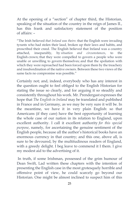At the opening of a "section" of chapter third, the Historian, speaking of the situation of the country in the reign of James II., has this frank and satisfactory statement of the position of affairs: –

"The Irish believed *that Ireland was theirs*: that the English were invading tyrants who had stolen their laud, broken up their laws and habits, and proscribed their creed. The English believed that Ireland was a country attached, inseparably, by *situation and circumstances*, to the English crown; that they were compelled to govern a people who were unable or unwilling to govern themselves; and that the spoliation with which they were reproached had been forced upon them by the treachery and insubordination of the native owners. Between these two views of the same facts no compromise was possible."

Certainly not; and, indeed, everybody who has any interest in the question ought to feel obliged to the English Historian for stating the issue so clearly, and for arguing it so steadily and consistently throughout his work. Mr. Prendergast expresses the hope that *The English in Ireland* may be translated and published in France and in Germany, as we may be very sure it will be. In the meantime, we have it in very plain English: so that Americans (if they care) have the best opportunity of learning the whole case of our nation in its relation to England, upon excellent authority. I call it excellent authority *for this special purpose*, namely, for ascertaining the genuine sentiment of the English people, because all the author's historical books have an enormous currency in that country; and this one, above all, is sure to be devoured, by the multitudinous readers of England, with a greedy delight. I beg leave to commend it I them. I give my modest aid to the advertising of it.

In truth, if some Irishman, possessed of the grim humour of Dean Swift, Lad written these chapters with the intention of presenting the English case in the most grotesquely horrible and offensive point of view, he could scarcely go beyond our Historian. One might be almost inclined to suspect him of this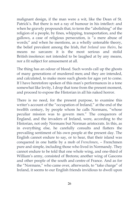malignant design, if the man were a wit, like the Dean of St. Patrick's. But there is not a ray of humour in his intellect: and when he gravely propounds that, to term the "abolishing" of the religion of a people, by fines, whipping, transportation, and the gallows, a case of religious persecution, is "a mere abuse of words;" and when he mentions, as a wholly untenable theory, the belief prevalent among the Irish, *that Ireland was theirs*, he means no sarcasm: it is the most serious and stolid British insolence: not intended to be laughed at by any means, nor a fit subject for amusement at all.

The thing has an odour of blood. Such words call up the ghosts of many generations of murdered men; and they are intended, and calculated, to make more such ghosts for ages yet to come. If I have heretofore spoken of this man's performances in a tone somewhat like levity, I drop that tone from the present moment, and proceed to expose the Historian in all his naked horror.

There is no need, for the present purpose, to examine this writer's account of the "occupation of Ireland," at the end of the twelfth century, by people whom he calls Normans, "whose peculiar mission was to govern men." The conquerors of England, and the invaders of Ireland, were, according to the Historian, not only Normans but Norman aristocrats. In this, as in everything else, he carefully consults and flatters the prevailing sentiment of his own people at the present day. The English cannot endure to say, or to hear, that their island was conquered in one battle by a mob of *Frenchmen*, – Frenchmen pure and simple, including those who lived in Normandy. They cannot endure to be told that one whole wing, and one-third of William's army, consisted of Bretons; another wing of Gascons and other people of the south and centre of France. And as for the "Normans," who came over, afterwards, to "take charge" of Ireland, it seems to our English friends invidious to dwell upon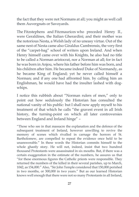the fact that they were not Normans at all; you might as well call them Auvergnats or Savoyards.

The Fitzstephens and Fitzmaurices who preceded Henry II., were Geraldines, the Italian Gherardini; and their mother was the notorious Nesta, a Welsh lady of no uneasy virtue. Out of the same nest of Nesta came also Giraldus Cambrensis, the very first of the "carpet-bag" school of writers upon Ireland. And when Henry himself came over with his Knights, he also had no title to be called a Norman aristocrat, nor a Norman at all; for in fact he was born in Anjou, where his father before him was born, and his children after him. He became indeed Duke of Normandy, as he became King of England; yet he never called himself a Norman; and if any one had affronted him. by calling him an Englishman, he would have had the insulter lashed with dogwhips.

I notice this rubbish about "Norman rulers of men," only to point out how sedulously the Historian has consulted the national vanity of his public: but I shall now apply myself to his treatment of that which he calls "the gravest event in all Irish history, the turning-point on which all later controversies between England and Ireland hinge" –

"Those who see in that massacre the explanation and the defence of the subsequent treatment of Ireland, however unwilling to revive the memory of scenes which rivalled in carnage the horrors of St. Bartholomew, are compelled to repeat the evidence once held to be unanswerable." In these words the Historian commits himself to the whole ghastly story. He will not, indeed, insist that two hundred thousand Protestants were assassinated in six mouths. But, if there was a certain exaggeration in the estimate of the numbers, he assures us that "for these enormous figures the Catholic priests were responsible. They returned the numbers of the killed in their several parishes, up to March, 1042, as 154,000." Also, "Sir John Temple considered that 150,000 perished in two months, or 300,000 in two years." But as our learned Historian knows well enough that there were not so many Protestants in all Ireland,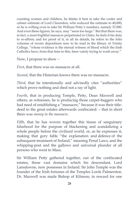counting women and children, he thinks it best to take the cooler and calmer estimate of Lord Clarendon, who reduced the estimate to 40,000; or he is willing even to take Sir William Petty's numbers, namely 37,000. And even these figures, he says, may "seem too large." But that there was, in fact, a most frightful massacre perpetrated in Ulster, he feels it his duty to re-affirm; and for proof of it, in all its details, he refers to the folio volumes of sworn depositions now to be read in the library of Trinity College, "whose evidence is the eternal witness of blood which the Irish Catholics have, from that time to this, been vainly trying to wash away."

Now, I propose to show –

*First*, that there was no massacre at all.

*Second*, that the Historian knows there was no massacre.

*Third*, that he intentionally and advisedly cites "authorities" which prove nothing and shed not a ray of light.

*Fourth*, that in producing Temple, Petty, Dean Maxwell and others, as witnesses, he is producing those carpet-baggers who had need of establishing a "massacre," because it was their titledeed to the great estates afterwards confiscated: – that in short there was *money in the massacre*.

*Fifth*, that he has woven together this tissue of sanguinary falsehood for the purpose of blackening and scandalizing a whole people before the civilized world, or, as he expresses it, making that gory fable "the explanation and defence of the subsequent treatment of Ireland," meaning Penal Laws, and the whipping-post and the gallows and universal plunder of all persons who went to Mass.

Sir William Petty gathered together, out of the confiscated estates, those vast domains which his descendant, Lord Lansdowne, now possesses in Ireland. Sir John Temple was the founder of the Irish fortunes of the Temples Lords Palmerston. Dr. Maxwell was made Bishop of Kilmore, in reward for one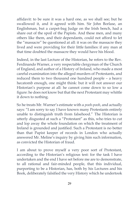affidavit: to be sure it was a hard one, as we shall see; but he swallowed it, and it agreed with him. Sir John Borlase, an Englishman, but a carpet-bag Judge on the Irish bench, had a share out of the spoil of the Papists. And these men, and many others like them, and their dependants, could not afford to let the "massacre" be questioned at all: it was on the massacre they lived and were providing for their little families: if any man at that time doubted the massacre they would have his blood.

Indeed, in the last Lecture of the Historian, he refers to the Rev. Ferdinando Warner, a very respectable clergyman of the Church of England, and author of a History of Ireland, who made a most careful examination into the alleged murders of Protestants, and reduced them to two thousand one hundred people – a heavy hecatomb enough, one might think: but it will not answer our Historian's purpose at all: he cannot come down to so low a figure: he does not know but that the next Protestant may whittle it down to nothing.

So he treats Mr. Warner's estimate with a *pooh-pooh*, and actually says: "I am sorry to say I have known many Protestants entirely unable to distinguish truth from falsehood." The Historian is utterly disgusted at such a "Protestant" as this, who tries to cut and lop away the whole foundation on which the treatment of Ireland is grounded and justified. Such a Protestant is no better than that Papist keeper of records in London who actually answered Mr. Meline's inquiry by giving him such information, as convicted the Historian of fraud.

I am about to prove myself a very poor sort of Protestant, according to the Historian's religious test: for the task I have undertaken and the end I have set before me are to demonstrate, to all rational and fair-minded people, that this individual, purporting to be a Historian, has, both by his Lectures and his Book, deliberately falsified the very History which he undertook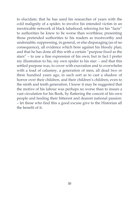to elucidate; that he has used his researches of years with the cold malignity of a spider, to involve his intended victim in an inextricable network of black falsehood; referring for his "facts" to authorities he knew to be worse than worthless; presenting those pretended authorities to his readers as trustworthy and undeniable; suppressing, in general, or else disparaging (as of no consequence), all evidence which bore against his bloody plan; and that he has done all this with a certain "purpose fixed as the stars" – to use a fine expression of his own; but in fact I prefer my illustration to his, my own spider to his star: – and that this settled purpose was, to cover with execration and to overwhelm with a load of calumny, a generation of men, all dead two or three hundred years ago, in such sort as to cast a shadow of horror over their children, and their children's children, even to the ninth and tenth generation. I know it may be suggested that the motive of his labour was perhaps no worse than to insure a vast circulation for his Book, by flattering the conceit of his own people and feeding their bitterest and dearest national passion: – let those who find this a good excuse give to the Historian all the benefit of it.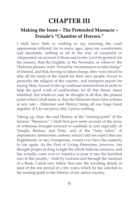# **CHAPTER III**

#### **Making the Issue – The Pretended Massacre – Froude's "Chamber of Horrors."**

I shall have little or nothing to say touching the cruel oppressions inflicted, for so many ages, upon my countrymen; and absolutely nothing at all in the way of complaint or vituperation on account of those sad events. Let it be granted, for the present, that the English, or the Normans, or whoever the Historian pleases, were "forced by circumstances to take charge" of Ireland, and that, having so taken charge, they were forced to take all the lands of the island for their own people; forced to proscribe the religion of the country, and transport priests for saying Mass; forced to stir up continual insurrections in order to help the good work of confiscation: let all this theory stand admitted; but whatever may be thought of all that, the present point which I shall make is, that the Historian bears false witness at any rate; – Historian and History being all one huge fraud together. If I do not prove this, I prove nothing.

Taking up, then, the said History at the "turning-point" of the famous "Massacre," I shall first give some account of the array of witnesses brought forward to establish it; and especially of Temple, Borlase, and Petty, and of the "forty folios" of depositions: testimonies, indeed, which I did not expect that any Englishman, or any Orangeman, would ever have the audacity to cite again. As the First of Living Historians, however, has thought proper to drag to light the whole hideous romance, and has actually come over to America to pour it into the horrified ears of this people, – both by Lectures and through the medium of a Book, I shall now follow him into the revolting details at least of the one period of a few years which he has selected as the turning-point in the History of my native country.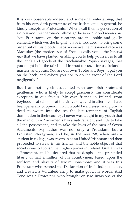It is very observable indeed, and somewhat entertaining, that from his very dark portraiture of the Irish people in general, he kindly excepts us Protestants. "When I call them a generation of riotous and treacherous cut-throats," he says, "I don't mean you. You Protestants, on the contrary, are the noble and godly element, which we, the English, have introduced, to bring some order out of this bloody chaos: – you are the missioned race – as Macaulay (the predecessor of Froude) calls you – the *imperial race* that we have planted, enabling you to help yourselves to all the lands and goods of the irreclaimable Popish savages, that you might hold the fair island in trust for us, – for us, Ireland's masters, and yours. You are our own 'Protestant Boys:' I pat you on the back, and exhort you not to do the work of the Lord negligently."

But I am not myself acquainted with any Irish Protestant gentleman who is likely to accept graciously this considerate exception in our favour. My own friends in Ireland, from boyhood, – at school, – at the University, and in after life, – have been generally of opinion that it would be a blessed and glorious deed to sweep into the sea the last remnants of English domination in their country. I never was taught in my youth that the man of Two Sacraments has a natural right and title to take all the possessions, and to take the lives of the men of Seven Sacraments. My father was not only a Protestant, but a Protestant clergyman; and he, in the year '98, when only a student in college, was sworn in as an United Irishman; and then proceeded to swear in his friends; and the noble object of that society was to abolish the English power in Ireland. Grattan was a Protestant, and he declared that he despised the pretended liberty of half a million of his countrymen, based upon the serfdom and slavery of two millions more: and it was this Protestant who penned the Declaration of Irish Independence, and created a Volunteer army to make good his words. And Tone was a Protestant, who brought on two invasions of the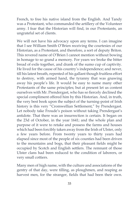French, to free his native island from the English. And Tandy was a Protestant, who commanded the artillery of the Volunteer army. I fear that the Historian will find, in our Protestants, an ungrateful set of clients.

We will not have his advocacy upon any terms. I can imagine that I see William Smith O'Brien receiving the courtesies of our Historian, as a Protestant, and therefore, a sort of deputy Briton. This revered name of O'Brien I cannot mention without bowing in homage to so grand a memory. For years we broke the bitter bread of exile together, and drank of the sumo cup of captivity. He lived for the cause of his country's independence; and never, till his latest breath, repented of his gallant though fruitless effort to destroy, with armed hand, the tyranny that was gnawing away his people's life. It would be easy to name many other Protestants of the same principles; but at present let us content ourselves with Mr. Prendergast, who has so fiercely declined the special compliment offered him by this Historian. And, in truth, the very best book upon the subject of the turning-point of Irish history is this very "Cromwellian Settlement," by Prendergast. Let nobody take Froude's poison without taking Prendergast's antidote. That there was an insurrection is certain. It began on the 23d of October, in the year 1641; and the whole plan and purpose of it were to retake and possess the farms and houses which had been forcibly taken away from the Irish of Ulster, only a few years before. From twenty years to thirty years had elapsed since most of the people of six counties had been driven to the mountains and bogs, that their pleasant fields might be occupied by Scotch and English settlers. The remnant of those Ulster clans had been reduced to the condition of laborers, or very small cottiers.

Many men of high name, with the culture and associations of the gentry of that day, were tilling, as ploughmen, and reaping as harvest men, for the stranger, fields that had been their own.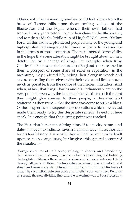Others, with their shivering families, could look down from the brow of Tyrone hills upon those smiling valleys of the Blackwater and the Foyle, whence their own fathers had trooped, forty years before, to join their clans on the Blackwater, and to ride beside the bridle-rein of Hugh O'Neill, at the Yellow Ford. Of this sad and plundered people many of the young and high-spirited had emigrated to France or Spain, to take service in the armies of those countries. The rest lingered sorrowfully, in the hope that some alteration might be brought about, in their doleful lot, by a change of kings. For example, when King Charles the First came to the throne of England, there seemed to them a prospect of some share of relief or reparation: in the meantime, they endured life, hiding their clergy in woods and caves, concealing themselves, with their wives and little ones, as much as possible, from the notice of the insolent intruders. And when, at last, that King Charles and his Parliament were on the very point of open war, the leaders of the Northern Irish thought they might give counsel to their people, – disarmed and scattered as they were, – that the time was come to strike a blow. Of the long series of exasperating provocations which now at last made them ready to try this desperate remedy, I need not here speak. It is enough that the turning-point was reached.

The Historian here cannot bring himself to specify names and dates; nor even to indicate, save in a general way, the authorities for his fearful story. His sensibilities will not permit him to dwell upon scenes so sanguinary; but he gives this general account of the situation: –

"Savage creatures of both sexes, yelping in chorus, and brandishing their skenes; boys practising their young hands in stabbing and torturing the English children; – these were the scenes which were witnessed daily through all parts of Ulster. The fury extended even to the farm-stock, and sheep and oxen were slaughtered, not for food, but in the blindness of rage. The distinction between Scots and English soon vanished. Religion was made the new dividing line, and the one crime was to be a Protestant.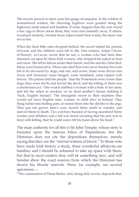The escorts proved in most cases but gangs of assassins. In the wildest of remembered winters, the shivering fugitives were goaded along the highways stark naked and foodless. If some, happier than the rest, found a few rags to throw about them, they were torn instantly away. If others, in natural modesty, twisted straw ropes round their waists, the straw was set on fire.

When the tired little ones dropped behind, the escort lashed the parents forward, and the children were left to die. One witness, Adam Clover, of Slonory, in Cavan, swore that he saw a woman who had been thus deserted, set upon by three Irish women, who stripped her naked in frost and snow. She fell in labour under their hands, and she and her child died. Many were buried alive. Those who died first were never buried, but were left to be devoured by dogs, and rats, and swine. Some were driven into rivers arid drowned, some hanged, some mutilated, some ripped with knives. The priests told the people ' that the Protestants were worse than dogs; they were devils and served the devil; and the killing of them was a meritorious act.' One wretch stabbed a woman with a baby in her arms, and left the infant in mockery on its dead mother's breast, bidding it 'Suck, English bastard.' The insurgents swore in their madness they would not leave English man, woman, or child alive in Ireland. They flung babies into boiling pots, or tossed them into the ditches to the pigs. They put out grown men's eyes, turned them adrift to wander, and starved them to death. Two cowboys boasted of having murdered thirty women and children; and a lad was heard swearing that his arm was so tired with killing, that he could scarce lift his hand above his head."

The main authority for all this is Sir John Temple, whose story is founded upon the famous folios of Depositions; but the Historian does not cite the depositions themselves, merely saying that they are the "eternal witness of blood." To those who have made Irish history a study, these wonderful affidavits are familiar; and I should be ashamed to take up space with them, but that to most readers they will be something new, and will besides show the exact sources from which the Historian has drawn his bloody marvels. Here, for example, are several specimens: –

"The examination of Dame Butler, who, being duly sworn, deposeth that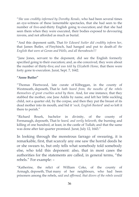"*She was credibly informed by Dorothy Renals*, who had been several times an eye-witness of these lamentable spectacles, that she had seen to the number of five-and-thirty English going to execution; and that she had seen them when they were executed, their bodies exposed to devouring ravens, and not afforded as much as burial.

"And this deponent saith, That *Sir Edward Sutler did credibly inform her*, that James Butler, of Finyhinch, had hanged and put to death *all the English that were at Goran and Wells, and all thereabouts!!!*

"Jane Jones, servant to the deponent, did see the English formerly specified going to their execution; and, as she conceived, they were about the number of thirty-five; *and was told by Elizabeth Home*, that there were forty gone to execution. Jurat, Sept. 7, 1642.

#### **"Anne Butler"**

"Thomas Fleetwood, late curate of Kilbeggan, in the county of Westmeath, deposeth, That *he hath heard from, the mouths of the rebels themselves of great cruelties acted by them*. And, for one instance, that they stabbed the mother, one Jane Addis by name, and left her little suckling child, not a quarter old, by the corpse, and then they put the breast of its dead mother into its mouth, and bid it '*suck, English Bastard*' and so loft it there to perish."

"Richard Bourk, bachelor in divinity, of the county of Fermanagh, deposeth, That *he heard, and verily believeth*, the burning and killing of one hundred, at least, in the castle of Tullah; and that the same was done after fair quarter promised. Jurat, July 12, 1643."

In looking through the monstrous farrago of swearing, it is remarkable, first, that scarcely any one saw the horrid deeds he or she swears to, but only tells what somebody told somebody else, who told this deponent: also, that in most cases the authorities for the statements are called, in general terms, "the rebels." For example: –

"Katherine, the relict of William Coke, of the county of Armagh, deposeth, That many of her neighbours, who had been prisoners among the rebels, *said and affirmed, that divers of the rebels would*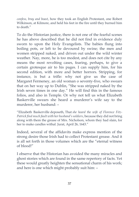*confess, bray and boast*, how they took an English Protestant, one Robert Wilkinson, at Kilmore, and held his feet in the fire until they burned him to death"

To do the Historian justice, there is not one of the fearful scenes he has above described that he did not find in evidence duly sworn to upon the Holy Evangelists. The babies flung into boiling pots, or left to be devoured by swine; the men and women stripped naked, and driven out under the wild winter weather. Nay, more, he is too modest, and does not cite by any means the most revolting cases, fearing, perhaps, to give a certain grotesque air to his pages. I can supply him, for his second edition, with more and better horrors. Stripping, for instance, is but a trifle: why not give us the case of Margaret Fermeney, an old woman o seventy-five, who swears that on her way up to Dublin, "She was stripped naked by the Irish seven times in one day." He will find this in the famous folios, and also in Temple. Or why not tell us what Elizabeth Baskerville swears she heard a murderer's wife say to the murderer, her husband: –

"Elizabeth Baskerville deposeth, That *she heard the wife of Florence Fitz-Patrick find much fault with her husband's soldiers*, because they did not bring along with them the grease of Mrs. Nicholson, whom they had slain, for her to make candles withal. Jurat, April 26, 1643."

Indeed, several of the affidavits make express mention of the strong desire those Irish had to collect Protestant grease. And it is all set forth in those volumes which are the "eternal witness of blood!"

I observe that the Historian has avoided the many miracles and ghost stories which are found in the same repertory of facts. Yet these would greatly heighten the sensational charm of his work; and here is one which might probably suit him: –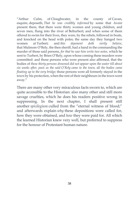"Arthur Culm, of Cloughwater, in the county of Cavan, esquire, deposeth, *That he was credibly informed* by some that Avere present there, that there were thirty women and young children, and seven men, flung into the river of Belturbert; and when some of them offered to swim for their lives, they were, by the rebels, followed in boats, and knocked on the head with poles; the same day they hanged two women at Turbert; and *this deponent doth verily believe*, that Mulmore O'Rely, the then sheriff, had a hand in the commanding the murder of those said persons, *for that he saw him write two notes*, which he sent to Turbert, by Brien O'Rely, upon whose coming these murders were committed: and those persons who were present also affirmed, that the bodies of *those thirty persons drowned did not appear upon the water till about six weeks after, past; as the said O'Rely came to the town, all the bodies came floating up to the very bridge;* those persons were all formerly stayed in the town by his protection, when the rest of their neighbours in the town went away."

There are many other very miraculous facts sworn to, which are quite accessible to the Historian: also many other and still more savage cruelties, which he does his readers positive wrong in suppressing. In the next chapter, I shall present still another *spicilegium* culled from the "eternal witness of blood;" and afterwards explain *why* these depositions were called for, how they were obtained, and *how* they were paid for. All which the learned Historian knew very well, but preferred to suppress for the honour of Protestant human nature.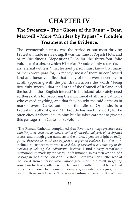## **CHAPTER IV**

### **The Swearers – The "Ghosts of the Bann" – Dean Maxwell – More "Murders by Papists" – Froude's Treatment of the Evidence.**

The seventeenth century was the period of our most thriving Protestant trade in swearing. It was the time of Popish Plots, and of multitudinous "depositions." As for the thirty-four folio volumes of oaths, to which Historian Froude calmly refers tis, as an "eternal witness," that learned person must know that many of them were paid for, in money, most of them in confiscated land and lucrative office: that many of them were never sworn at all, appearing with the pen drawn across the words "being first duly sworn:" that the Lords of the Council of Ireland, and the heads of the "English interest" in the island, absolutely need ed these oaths for procuring the indictment of all Irish Catholics who owned anything; and that they bought the said oaths as in market overt. Carte, author of the Life of Ormonde, is a Protestant authority; and Mr. Froude has read his work, for he often cites it where it suits him: but he takes care not to give us this passage from Carte's first volume: –

"The Roman Catholics complained that *there were strange practices used with the jurors, menaces to some, promises of rewards, and parts of the forfeited estates;* and though great numbers of the indicted persons might be really guilty, *there was too much reason given to suspect the evidence*. I am the more inclined to suspect there was a *good deal of corruption and iniquity in the methods of gaining the indictments*, because I find a very remarkable memorandum made by the Marquis of Ormonde, in his own writing, of a passage in the Council, on April 23, 1643. There was then a letter read at the Board, from a person who claimed great merit to himself, in getting some hundreds of gentlemen indicted, and the rather for that he had laid out sums of money to procure witnesses to give evidence to a jury, for the finding those indictments. This was an intimate friend of Sir William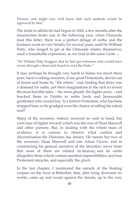Parsons, and might very well know that such methods would be approved by him."

The trade in affidavits had begun in 1642, a few months after the insurrection broke out; in the following year, when Ormonde read this letter, there was a perfect deluge of oaths; and the business went on very briskly for several years, until Sir William Petty, who longed to get at the Ormonde estates themselves, used a remarkable expression, as we read in the same Carte: –

"Sir William Petty bragged, that he had got witnesses who would have sworn through a three-inch board to evict the Duke."

It may perhaps be thought very harsh to blame too much these poor, hard-working swearers, if our good Protestants, driven out of house and home by "the rebels," and, finding that there was a demand for oaths, put their imaginations to the rack to invent the most horrible tales, – the more ghastly the higher price, – and hawked them in Dublin to noble lords and honourable gentlemen who would buy. Is a forlorn Protestant, who has been stripped bare, to be grudged even the chance of selling his naked soul?

Many of the swearers, indeed, received no cash in hand, but were sure of higher reward; which was the case of Dean Maxwell and other parsons. But, in dealing with the whole mass of evidence, it is curious to observe what caution and discrimination the Historian has shown. He names but two of the swearers, Dean Maxwell and one Adam Clover, and in constructing his general narrative of the atrocities, never hints that most of them are related on hearsay; and he omits altogether those which contain manifest impossibilities, and true Protestant miracles, and especially the *ghosts*.

In the last chapter, I mentioned the miracle of the floating corpses on the river at Belturbet, that, after lying drowned six weeks, came up and swam against the stream, up to the very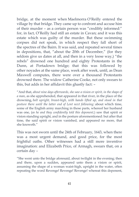bridge, at the moment when Maelmorra O'Reilly entered the village by that bridge. They came up to confront and accuse him of their murder – as a certain person was "credibly informed:" for, in fact, O'Reilly had still an estate in Cavan; and it was this estate which was guilty of the murder. But these swimming corpses did not speak, in which respect they fall short of the spectres of the Bairn. It was said, and repeated several times in depositions, that, "about the 20th of December," (for they seldom give us dates at all, and then in a very loose way,) "the rebels" drowned one hundred and eighty Protestants in the Dunn, at Portadown bridge; that this was followed by other noyades at the same place, week after week, until, as Dean Maxwell computes, there were over a thousand Protestants drowned there. The widow Catherine Cooke, not only swears to this, but adds in her affidavit this ghastly fact: –

"And that, *about nine days afterwards, she saw a vision or spirit, in the shape of a man*, as she apprehended, that appeared in that river, in the place of the drowning, *bolt upright, breast-high, with hands lifted up, and stood in that posture there until the latter end of Lent next following:* about which time, some of the English army marching in those parts, whereof her husband was one, (*as he and they confidently told this deponent,*) saw that spirit or vision standing upright, and in the posture aforementioned: but after that time, the said spirit or vision vanished, and appeared no more, that she knoweth."

This was not sworn until the 24th of February, 1643, when there was a most urgent demand, and good price, for the most frightful oaths. Other witnesses had a still more inventive imagination: and Elizabeth Price, of Armagh, swears that, on a certain day –

"She went unto the bridge aforesaid, about twilight in the evening; then and there, upon a sudden, appeared unto them a vision or spirit, assuming the shape of a woman waist-high, upright in the water, often repeating the word Revenge! Revenge! Revenge! whereat this deponent,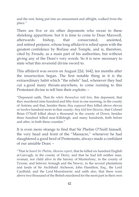and the rest, being put into an amazement and affright, walked from the place."

There are five or six other deponents who swear to these shrieking apparitions: but it is time to come to Dean Maxwell, afterwards bishop, that consecrated, anointed, and mitred perjurer, whose long affidavit is relied upon with the greatest confidence by Borlase and Temple, and is, therefore, cited by Froude, as a main part of his authorities, but without giving any of the Dean's very words. So it is now necessary to state what this reverend divine sword to.

This affidavit was sworn on August 22d, 1642, ten months after the insurrection began. The first notable thing in it is the extraordinary habit which "the rebels" had, whenever they had cut a good many throats anywhere, to come running to this Protestant divine to tell him their exploits: –

"Deponent saith, That *the rebels themselves told him*, this deponent, that they murdered nine hundred and fifty-four in one morning, in the county of Antrim; and that, besides them, *they supposed* they killed above eleven or twelve hundred more in that county; *they told him likewise*, that Colonel Brian O'Neill killed about a thousand in the county of Down, besides three hundred killed near Killeleigh, and many hundreds, both before and after, in both these counties."

It is even more strange to find that Sir Phelim O'Neill himself, the very head and front of the "Massacre," whenever he had slaughtered a good herd of Protestants, always made a confidant of our amiable Dean: –

"That *he heard Sir Phelim, likewise report*, that he killed six hundred English at Garvagh, in the county of Derry; and that he had left neither man, woman, nor child alive in the barony of Munterlony, in the county of Tyrone, and betwixt Armagh and the Newry, in the several plantations and lands of Sir Archibald Atcheson, John Hamilton, Esq., the Lord Caulfield, and the Lord Mountnorris: and saith also, that there were above two thousand of the British murdered for the most part in their own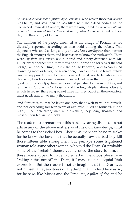houses, *whereof he was informed by a Scotsman*, who was in those parts with Sir Phelim, and saw their houses filled with their dead bodies. In the Glenwood, towards Dromore, there were slaughtered, a*s the rebels told the deponent, upwards of twelve thousand in all*, who Avere all killed in their flight to the county of Down.

The numbers of the people drowned at the bridge of Portadown are diversely reported, according as men staid among the rebels. This deponent, who staid as long as any and *had better intelligence* than most of the English amongst them, and best reason to know the truth, saith, There were (*by their own report*) one hundred and ninety drowned with Mr. Fullerton; at another time, they threw one hundred and forty over the said bridge; at another lime, thirty-six or thirty-seven; and so continued drowning more or fewer, for seven or eight weeks, so as the fewest which can be supposed there to have perished must needs be above one thousand, besides as many more drowned, between that bridge and the great lough of Montjoy, besides those that perished by the sword, fire, and famine, in Coubrasil (Clanbrassil), and the English plantations adjacent; which, in regard there escaped not three hundred out of all these quarters, must needs amount to many thousands.

And further saith, that he knew one boy, that dwelt near unto himself, and not exceeding fourteen years of age, who killed at Kinnard, in one night, fifteen able strong men with his skein, they being disarmed, and most of their feet in the stocks."

The reader must remark that this hard-swearing divine does not affirm any of the above matters as of his own knowledge, until he comes to the wicked boy. About this there can be no mistake: for he knew the boy: not that he actually saw the bad boy kill those fifteen able strong men; but perhaps some frightened woman told some other woman, who told the Dean. Or probably some of the "rebels" themselves narrated the story to him; for these rebels appear to have had a certain malicious pleasure in "taking a rise out of" the Dean, if I may use a colloquial Irish expression. But the reader is not to imagine that the Dean was not himself an eye-witness of anything at all: indeed he was so; for he saw, like Moses and the Israelites, *a pillar of fire;* and he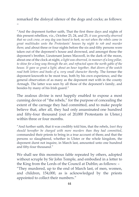remarked the disloyal silence of the dogs and cocks; as follows: –

"And the deponent further saith, That the first three days and nights of this present rebellion, viz., October 23, 24, and 25, *it was generally observed that no cock crew, or any dog was heard to bark, no not when the rebels came in great multitudes unto the Protestants' houses by night to rob and murder them;* and about three or four nights before the six-and-fifty persons were taken out of the deponent's house and drowned, and amongst those the deponent's brother, Lieutenant James Maxwell, in the dark of the moon, about one of the clock at night, *a light was observed, in manner of a long pillar, to shine for a long way through the air, and refracted upon the north gable of the house. It gave so great a light, about an hour together, that divers of the watch read both letters and books of a, very small character thereby*. The former the deponent knoweth to be most true, both by his own experience, and the general observation of as many as the deponent met with in the county Armagh. The latter was seen by all those of the deponent's family, and besides by many of his Irish guard."

The zealous divine is next happily enabled to expose a most cunning device of "the rebels," for the purpose of concealing the extent of the carnage they had committed, and to make people believe that, after all, they had only assassinated one hundred and fifty-four thousand (out of 20,000 Protestants in Ulster,) within three or four months.

"And further saith, that it was credibly told him, that the rebels, *least they should hereafter be charged with more murders than they had committed*, commanded their priests to bring in a true account of them; and that the persons so slaughtered, whether in Ulster or the whole kingdom, the deponent durst not inquire, in March last, amounted unto one hundred and fifty-four thousand."

We shall see this monstrous fable repeated by others, adopted without scruple by Sir John Temple, and embodied in a letter to the King from the Lords of the Council at Dublin; as follows: – "They murdered, up to the end of March last, of men, women, and children, 154,000, as is acknowledged by the priests appointed to collect their numbers."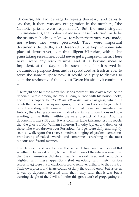Of course, Mr. Froude eagerly repeats this story, and dares to say that, if there was any exaggeration in the numbers, "the Catholic priests were responsible". But the most singular circumstance is, that nobody ever saw these "returns" made by the priests: nobody even knows to whom the returns were made, nor where they were preserved. They were important documents decidedly, and deserved to be kept in some safe place of deposit; yet, even this diligent Historian, with all his painstaking researches, could never get a glimpse of them. There never were any such returns: and it is beyond measure impudent, at this day, to cite such a talc; but it served its calumnious purpose then, and is reproduced as fresh as ever to serve the same purpose now. It would be a pity to dismiss so soon the testimony of the devout Dean: his affidavit continues: –

"He might add to these many thousands more: but the diary which he the deponent wrote, among the rebels, being burned with his house, books, and all his papers, h*e referreth himself to the number in gross*, which the rebels themselves have, upon inquiry, found out and acknowledge, which notwithstanding will come short of all that have been murdered in Ireland, there being above one hundred and fifty and four thousand now wanting of the British within the very precinct of Ulster. And the deponent further saith, that it was common table-talk amongst the rebels, that the ghosts of Mr. William Fullerton, Timothy Jephes, and the most of those who were thrown over Portadown bridge, were daily and nightly seen to walk upon the river, sometimes singing of psalms, sometimes brandishing of naked swords, and sometimes screeching in the most hideous and fearful manner.

The deponent did not believe the same at first, and yet is doubtful whether to believe it or not; but saith that divers of the rebels assured him that they themselves did dwell near to the said river, and being daily frighted with these apparitions (but especially with their horrible screeching,) were in conclusion forced to remove further into the country. Their own priests and friars could not deny the truth thereof; but as oft as it was by deponent objected unto them, they said, that it was but a cunning sleight of the devil to hinder this great work of propagating the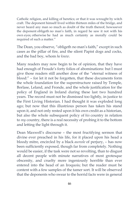Catholic religion, and killing of heretics; or that it was wrought by witch craft. The deponent himself lived within thirteen miles of the bridge, and never heard any man so much as doubt of the truth thereof; howsoever the deponent obligeth no man's faith, in regard he saw it not with his own eyes; otherwise he had as much certainty as morally could be required of such a matter."

The Dean, you observe, "obligeth no man's faith," except in such cases as the pillar of fire, and the silent Papist dogs and cocks, and the bad boy, whom *he knew*.

Many readers may now begin to be of opinion, that they have had enough of Froude's forty folios of abominations: but I must give those readers still another dose of the "eternal witness of blood:" – for let it not be forgotten, that these documents form the whole foundation for the superstructure raised by Temple, Borlase, Leland, and Fronde, and the whole justification for the policy of England in Ireland during these last two hundred years. The record must not be dismissed too lightly, in justice to the First Living Historian. I had thought it was exploded long ago; but now that this illustrious person has taken his stand upon it, and not only rested upon it his own credit as a historian, but also the whole subsequent policy of *his* country in relation to *my* country, there is a real necessity of probing it to the bottom and letting the light through it.

Dean Maxwell's discourse – the most fructifying sermon that divine ever preached in his life, for it placed upon his head a bloody mitre, encircled by a black *aureole* of perjury, – has now been sufficiently exposed, though far from completely. Nothing would be easier, if the task were not so revolting, than to disgust all decent people with minute narratives of most grotesque obscenity, and cruelty more ingeniously horrible than ever entered into the head of an Iroquois; but the reader must be content with a few samples of the tamer sort. It will be observed that the deponents who swear to the horrid facts were in general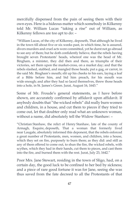mercifully dispensed from the pain of seeing them with their own eyes. Here is a hideous matter which somebody in Kilkenny told Mr. William Lucas "taking a rise" out of William, as Kilkenny fellows are too apt to do: –

"William Lucas, of the city of Kilkenny, deposeth, That although he lived in the town till about five or six weeks past, in which time, he is assured, divers murders and cruel acts were committed, yet he durst not go abroad to see any of them; but he doth confidently believe, that the rebels having brought seven Protestants' heads, whereof one was the head of Mr. Bingham, a minister, they did then and there, as triumphs of their victories, set them upon the market-cross, on a market day; and that the rebels slashed, stabbed, and mangled those heads; put a gag, or carrot, in the said Mr. Bingham's mouth; slit up his cheeks to his ears, laying a leaf of a Bible before him, and bid him preach, for his mouth was wide enough; and after they had so laced themselves, threw those heads into a hole, in St. James's Green. Jurat, August 16, 1643."

Some of Mr. Froude's general statements, as I have before shown, are accurately confirmed by affidavit upon affidavit. If anybody doubts that "the wicked rebels" did really burn women and children, in a house, and cut them to pieces if they tried to come out, let that doubter only read what an unknown woman, without a name, did absolutely tell the Widow Stanhaw: –

"Christian Stanhaw, the relict of Henry Stanhaw, late of the county of Armagh, Esquire, deposeth, That a woman that formerly lived near Laugale, absolutely informed this deponent, that the rebels enforced a great number of Protestants, men, women, and children, into a house, which they set on fire, purposely to burn them; as they did: and still as any of them offered to come out, to shun the fire, the wicked rebels, with scythes, which they had in their hands, cut them to pieces, and cast them into the fire, and burned them with the rest. Jurat, July 23, 1642."

Poor Mrs. Jane Stewart, residing in the town of Sligo, had, on a certain day, the good luck to be confined to her bed by sickness; and a piece of rare good fortune it was for Jane, seeing she was thus saved from the fate decreed to all the Protestants of that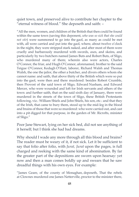quiet town, and preserved alive to contribute her chapter to the "eternal witness of blood." She deposeth and saith: –

"All the men, women, and children of the British that then could be found within the same town (saving this deponent, *who was so sick that she could not stir*) were summoned to go into the gaol, as many as could be met with, all were carried and put into the gaol, where, about twelve o'clock in the night, they were stripped stark naked, and after most of them were cruelly and barbarously murdered with swords, axes, and skeins, and particularly by two butchers named James Buts and Robert Buts, of Sligo, who murdered many of them; wherein also were actors, Charles O'Connor, the friar, and Hugh O'Connor, aforenamed, brother to the said Teigue O'Connor, Kedagh O'Hart, laborer, Richard Walsh and Thomas Walsh, the one the jailor, the other a butcher, and divers others whom she cannot name: and saith, that above thirty of the British which were so put into the gaol, were then and there murdered: besides Robert Crumble, then Provost of the said town of Sligo, Edward Nusham, and Edward Mercer, who were wounded and loft for Irish servants and others of the town: and further saith, that on the said sixth day of January, there were murdered in the streets of the town of Sligo, these British Protestants following, viz.: William Shiels and John Shiels, his son, etc.: and that they of the Irish, that came to bury them, stood up to the mid-leg in the blood and brains of those that were so murdered: who were carried out, and cast into a pit digged for that purpose, in the garden of Mr. Ricrofts, minister of Sligo."

Poor Jane Stewart, lying on her sick bed, did not see anything of it herself; but I think she had bad dreams.

Why should I wade any more through all this blood and brains? The reader must be weary of it, if not sick. Let it be sufficient to say that folio after folio, with *Jurat, Jurat* upon the pages, is full charged and reeking with the same kind of abomination. By far the greater part of the depositions are sworn upon hearsay: yet now and then a man comes boldly up and swears that he saw dreadful things with his own eyes. For example:

"James Geare, of the county of Monaghan, deposeth, That the rebels at Clownes murdered one James Netterville, proctor to the minister there,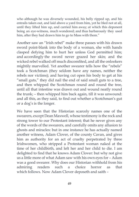who although he was diversely wounded, his belly ripped up, and his entrails taken out, and laid above a yard from him, yet he bled not at all, until they lifted him up, and carried him away; at which this deponent being an eye-witness, much wondered; and thus barbarously they used him, after they had drawn him to go to Mass with them."

Another saw an "Irish rebel" make three passes with his drawn sword point-blank into the body of a woman, she with hands clasped defying him to hurt her unless God permitted him; and accordingly the sword never grazed her skin; and the wicked rebel walked off much discomfited, and all the onlookers mightily marvelled. Yet another swearer tells how the "rebels" took a Scotchman (they seldom have any names, neither the rebels nor victims); and having cut open his body to get at his "small guts," they did nail the end of said small guts to a tree, and then whipped the Scotchman round and round the tree, until all that intestine was drawn out and wound neatly round the trunk; – then whipped him back again, till it was unwound: and all this, as they said, to find out whether a Scotchman's gut or a dog's is the longer.

We have seen that the Historian scarcely names one of the swearers, except Dean Maxwell, whose testimony is the rock and strong tower to our Protestant interest; that he never gives any of the words of the swearers, and carefully omits any allusion to ghosts and miracles: but in one instance he has actually named another witness, Adam Clover, of the county Cavan, and gives him as authority for an act of cruelty perpetrated by three Irishwomen, who stripped a Protestant woman naked at the time of her childbirth, and left her and her child to die. I am delighted to find that he knows Adam Clover: but why not give us a little more of what Adam saw with his own eyes for – Adam was a good swearer. Why does our Historian withhold from his admiring readers such a choice horror as that which follows. Now Adam Clover deposeth and saith –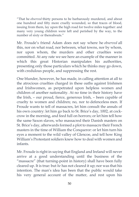"That he *observed* thirty persons to be barbarously murdered, and about one hundred and fifty more cruelly wounded, so that traces of blood, issuing from them, lay upon the high road for twelve miles together: and many very young children were left and perished by the way, to the number of sixty or thereabouts."

Mr. Froude's friend Adam does not say where he *observed* all this, nor on what road, nor between, what towns, nor by whom, nor upon whom, the murders and other cruelties were committed. At any rate we see here an example of the manner in which this great Historian manipulates his authorities, presenting only those particulars which he thinks may go down, with credulous people, and suppressing the rest.

One blunder, however, he has made, in calling attention at all to the atrocious cruelties charged in these oaths against Irishmen and Irishwomen, as perpetrated upon helpless women and children of another nationality. At no time in their history have the Irish, – our proud, fierce, generous Irish, – been capable of cruelty to women and children; no, nor to defenceless men. If Froude wants to tell of massacres, let him consult the annals of his own country: let him go back to St. Brice's day, 1002, at cockcrow in the morning, and feed full on horrors; or let him tell how the same Saxon slaves, who massacred their Danish masters on St. Brice's day, afterwards formed a plot to massacre their French masters in the time of William the Conqueror: or let him turn his eyes a moment to the wild valley of Glencoe, and tell how King William's Protestant soldiers knew how to deal with women and infants.

Mr. Froude is right in saying that England and Ireland will never arrive at a good understanding until the business of the "massacre" (that turning-point in history) shall have been fully cleared up. It is true: but *he* has not cleared it up; nor was that his intention. The man's idea has been that the public would take his very general account of the matter, and rest upon his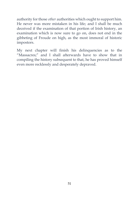authority for those *other* authorities which ought to support him. He never was more mistaken in his life; and I shall be much deceived if the examination of that portion of Irish history, an examination which is now sure to go on, does not end in the gibbeting of Froude on high, as the most immoral of historic impostors.

My next chapter will finish his delinquencies as to the "Massacres;" and I shall afterwards have to show that in compiling the history subsequent to that, he has proved himself even more recklessly and desperately depraved.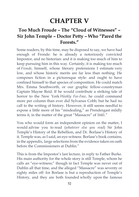# **CHAPTER V**

### **Too Much Froude – The "Cloud of Witnesses" – Sir John Temple – Doctor Petty – Who "Pared the Forests."**

Some readers, by this time, may be disposed to say, we have had enough of Fronde: he is already a notoriously convicted Impostor, and no historian: and it is making too much of him to keep pursuing him in this way. Certainly, it is making too much of *Froude*, himself, whose literary pretensions I estimate very low, and whose historic merits are far less than nothing. He composes fiction in a picturesque style: and ought to have confined himself to that species of composition. He could match Mrs. Emma Southworth, or our graphic fellow-countryman Captain Mayne Reid. If he would contribute a striking tale of horror to the New York *Weekly Fee-Faw*, he could command more per column than ever did Sylvanus Cobb; but he had no call to the writing of history. However, it still seems needful to expose a little more of his "misdealing," as Prendergast mildly terms it, in the matter of the great "Massacre" of 1641."

You who would form an independent opinion on the matter, I would advise you to read (*whatever else you read*) Sir John Temple's History of the Rebellion, and Dr. Borlase's History of it. Temple was, as I said, an eye-witness. Borlase's book contains, in the appendix, large selections from the evidence taken on oath before the Commissioners at Dublin."

This is from the Impostor's last lecture, in reply to Father Burke. His main authority for the whole story is still Temple, whom he calls an "eye-witness;" though in fact Temple was never out of Dublin all that time, and the alleged "Massacre" was seventy or eighty miles off: for Borlase is but a reproduction of Temple's History, and they are both founded wholly upon the famous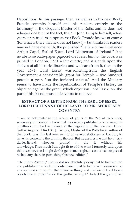Depositions. In this passage, then, as well as in his new Book, Froude commits himself and his readers entirely to the testimony of the eloquent Master of the Rolls: and he does not whisper one hint of the fact, that Sir John Temple himself, a few years later, tried to suppress that Book. Froude knows of course (for what is there that he does not know!) – but thinks his readers may not have met with, the published "Letters of his Excellency Arthur Capel, Earl of Essex, Lord Lieutenant of Ireland." It is no abstruse State-paper pigeon-hole I refer him to: the book was printed in London, 1770, a fair quarto; and it stands upon the shelves of all historic libraries; and we learn from it, that, in the year 1674, Lord Essex was soliciting from the English Government a considerable grant for Temple – five hundred pounds a year, "on the forfeited estates." And the Ministry seems to have made the republication of Temple's History an objection against the grant, which objection Lord Essex, on. the part of his friend, thus endeavours to remove: –

#### **EXTRACT OF A LETTER FROM THE EARL OF ESSEX, LORD LIEUTENANT OF IRELAND, TO MR. SECRETARY COVENTRY**

"I am to acknowledge the receipt of yours of the 22d of December, wherein you mention a book that was newly published, concerning the cruelties committed in Ireland, at the beginning of the late war. Upon further inquiry, I find Sir J. Temple, Master of the Rolls here, author of that book, was this last year sent to by several stationers of London, to have his consent to the printing thereof. But he assures me that he utterly denies it; and whoever printed it, did it without his knowledge. Thus much I thought fit to add to what I formerly said upon this occasion, that I might do this gentleman right, in case it was suspected he had any share in publishing this new edition."

"He utterly *denied* it;" that is, did not absolutely deny that he had written and published the book, but only denied that he had given permission to any stationers to reprint the offensive thing; and his friend Lord Essex pleads this in order "to do the gentleman right." In fact the grant of an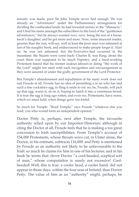annuity was made: poor Sir John Temple never had enough. He was already an "Adventurer" under the Parliamentary arrangement for dividing the confiscated lands: he had invested money in the "Massacre," and I find his name amongst the subscribers to the fund of the "gentlemen adventurers;" but he always wanted *more, more,* being the son of a horseleech's daughter; and he got more and more. Now, some innocent reader, greener than the rest, will say, well at least the poor man was ashamed at last of his naughty book, and endeavoured to make people forget it. Alas! no: he was not ashamed; but the *Restoration* had occurred in the meantime: the Stuarts were come back: Charles II. was King; about the court there was supposed to be much Papistry; and a hard-working Protestant feared that his former zealous labours in doing "the work of the Lord" might not meet with such recognition and encouragement as they were assured of under the godly government of the Lord Protector.

But Temple's abandonment and repudiation of his nasty work does not suit Froude at all. Froude has no idea of permitting a in an who has laid such a tine cockatrice egg, to fling it aside to rot: no; he, Froude, will pick up that egg, warm it, sit on it, hoping to hatch it into a venomous brood. It is true the egg is long ago rotten; and even we, Protestants, have noses, which we must hold, when things grow too foetid.

So much for Temple. "Read Temple," says Froude "whatever else you read, you who would form an independent opinion."

Doctor Petty is, perhaps, next after Temple, the favourite authority relied upon by our Impostor-Historian: although in citing the Doctor at all, Froude feels that he is making a too great concession to Irish susceptibilities. From Temple's account of 154,000 Protestants, whose throats wero cut, in Ulster alone, the Doctor, in his estimate, subtracts 116,000: and Petty is mentioned by Froude as an authority not likely to be unfavourable to the Irish: so much he claims for him in one of his lectures: and in his book he terms that clever Doctor "a cool-headed, sceptical sort of man," whose computation is surely not excessive! Coolheaded! Well, this is true: a cooler head, a cooler hand, did not appear in those days, within the four seas of Ireland, than Doctor Petty. The value of him as an "authority" might, perhaps, be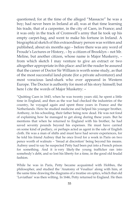questioned; for at the time of the alleged "Massacre" he was a boy; had never been in Ireland at all; was at that time learning his trade, that of a carpenter, in the city of Caen, in France; and it was only in the track of Cromwell's army that lie took up his empty carpet-bag, and went to make his fortune in Ireland. A biographical sketch of this extraordinary person was written and published, about six months ago – before there was any word of Froude's Lectures or History, – by a citizen of Brooklyn – not Mr. Meline, but another citizen, whose name is Major Muskerry, – from which sketch I may venture to give an extract or two altogether appropriate in this place: and let the reader be assured that the career of Doctor Sir William is worth some study, as that of the most successful land-pirate (for a private adventurer) and most voracious land-shark who ever appeared in Western Europe. The Doctor is authority for most of his story himself; but here I cite the words of Major Musketry: –

"Quitting Caen in 1643, when he was twenty years old, he spent a little time in England, and then as the war had checked the industries of the country, he voyaged again and spent three years in France and the Netherlands. Here he studied medicine and helped his younger brother, Anthony, in his schooling, their father being now dead. He was not fond of explaining how he managed to get along during these years. But he mentions that when he returned to England with his brother, he had saved seventy pounds beyond his expenses. He must have carried on some kind of pedlary, or perhaps acted as agent in the sale of English cloth. He was a man of shifts and must have had severe experiences, for he told his friend Aubrey that he once lived for a week in Paris on two pence worth of walnuts – 'bread at discretion' being beyond his means. Aubrey used to say he suspected Petty had been put into a French prison for something. And it is very likely the young trafficker ran into somebody's debt, and so lost his liberty for a time, in the good old feudal fashion.

While he was in Paris, Petty became acquainted with Hobbes, the philosopher, and studied the 'Anatomy of Vesalius' along with him, at the same time drawing the diagrams of a treatise on optics, which that old 'Leviathan' was then wilting. In 1646, Petty returned to England. He then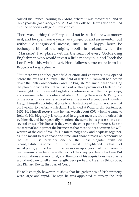carried his French learning to Oxford, where it was recognized; and in three years he got his degree of M.D. at that College. He was also admitted into the London College of Physicians."

There was nothing that Petty could not learn, if there was money in it; and he spent some years, as a projector and an inventor; but without distinguished success, until, in a happy hour, he bethought him of the mighty spoils in Ireland, which the "Massacre" had placed within, the reach of every God-fearing Englishman who would invest a little money in it, and "seek the Lord" with his whole heart. Here follows some more from his Brooklyn biographer: –

"But there was another great field of effort and enterprise now opened before the eyes of Dr. Petty – the field of Ireland. Cromwell had beaten down the Irish Confederation, and the English Parliament was arranging the plan of driving the native Irish out of three provinces of Ireland into Connaught. Ten thousand English adventurers seized their carpet-bags, and swarmed into the confiscated island. Among these was Dr. Petty, one of the ablest brains ever exercised over the area of a conquered country. He got himself appointed at once to an Irish office of high character – that of Physician to the Army in Ireland. He landed at Waterford in September, 1652. He himself records that he was worth about £500 when he came to Ireland. His biography is composed in a great measure from notices left by himself, and he repeatedly mentions the sums in his possession at the several crises of his life, as if they were the chief points of interest. But the most remarkable part of the business is that these notices occur in his will, written at the end of his life. He mixes biography and bequests together, as if he meant to save space and time, and show himself an economist to the last. It is certainly one of the most singular wills on record, exhibiting some of the most enlightened ideas of social polity, jumbled with the penurious apologies of a genuine mammon-scraper familiar with much of the sharp practice of his time. But his intimations are very brief, and the story of his acquisitions was one he would not care to tell at any length, very probably. He slurs things over, like Richard Boyle, first Earl of Cork.

He tells enough, however, to show that his gatherings of Irish property were large and rapid. He says he was appointed to survey the Irish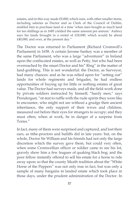estates, and in this way made £9,000; which sum, with other smaller items, including salaries as Doctor and as Clerk of the Council of Dublin, enabled him to purchase land at a time 'when men bought as much land for ten shillings as in 1685 yielded the same amount per annum.' Aubrey says his lands brought in a rental of £18,000; which would be about £40,000, and over, at the present day."

The Doctor was returned to Parliament (Richard Cromwell's Parliament) in 1658. A certain Jerome Sankey was a member of the same Parliament, who was a large "adventurer" in Ireland upon the confiscated estates, as well as Petty, but who had been overreached by the smart Doctor and his" Ring" in the matter of land-grabbing. This is not wonderful: the Doctor, as Surveyor, had many chances: and as he was relied upon for "setting out" lands for whole regiments and brigades, he had endless opportunities of buying up for little or nothing estates of great value. The Doctor had surveys made, and all the field-work done by private soldiers instructed by himself; "hardy men," says Prendergast, "nt-test to ruffle with the rude spirits they were like to encounter, who might not see without a grudge their ancient inheritance, the only support of their wives and children, measured out before their eyes for strangers to occupy; and they must often, when at work, be in danger of a surprise from Tories."

In fact, many of them were surprised and captured, and lost their ears, as tithe-proctors and bailiffs did in late years: but, on the whole, Doctor Sir William and his friends had not only the large discretion which the survey gave them, but could very often, when some Cromwellian officer or soldier came to see his lot, gravely show him a few leagues of quaking black bog; and the poor fellow instantly offered to sell his estate for a horse to ride away upon; so that the county Meath tradition about the "White Horse of the Peppers" was not only true in fact, but was only a sample of many bargains in landed estate which took place in those days, under the prudent administration of the Doctor. In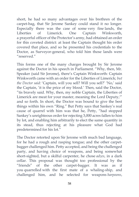short, he had so many advantages over his brethren of the carpet-bag, that Sir Jerome Sankey could stand it no longer. Especially there was the case of some very fine lands, the Liberties of Limerick. One Captain Winkworth, a prayerful officer of the Protector's army, had obtained an order for this coveted district: at least the Captain thought his order covered that place, and so he presented his credentials to the Doctor, as Surveyor-general, who told him those lands were "reserved."

This forms one of the many charges brought by Sir Jerome against the Doctor in his speech in Parliament. "Why, then, Mr. Speaker (said Sir Jerome), there's Captain Winkworth: Captain Winkworth came with an order for the Liberties of Limerick; *but the Doctor said:* 'Captain, will you sell? Will you sell?' 'No,' said the Captain, 'it is the price of my blood.' Then, said the Doctor, "tis bravely said. Why, then, my noble Captain, the Liberties of Limerick are meat for your master, meaning the Lord Deputy,'" and so forth. In short, the Doctor was bound to give the best things within his own "Ring." But Petty says that Sankey's real cause of quarrel with him was that he, Petty, "had stopped Sankey's unrighteous order for rejecting 3,000 acres fallen to him by lot, and enabling him arbitrarily to elect the same quantity in its stead, thus rejecting at his pleasure what God had predetermined for his lot."

The Doctor retorted upon Sir Jerome with much bad language, for he had a rough and rasping tongue; and the other carpetbagger challenged him. Petty accepted, and being the challenged party, and having choice of weapons, and being somewhat short-sighted, but a skilful carpenter, he chose *adzes*, in a dark cellar. This proposal was thought too professional by the "friends" of the other carpet-bagger. It was as if you quarrelled with the first mate of a whaling-ship, and challenged him, and he selected for weapons *harpoons*,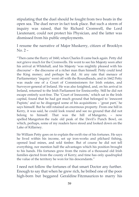stipulating that the duel should be fought from two boats in the open sea. The duel never in fact took place. But such a storm of inquiry was raised, that Sir Richard Cromwell, the Lord Lieutenant, could not protect his Physician, and the latter was dismissed from his public employments.

I resume the narrative of Major Muskerry, citizen of Brooklyn  $No. 2 -$ 

"Then came the flurry of 1660, when Charles II came back again. Petty did not grieve much for the Cromwells. He went to see his Majesty soon after his arrival at Whitehall, and his Majesty 'was mightily pleased with his discourse' – the discourse of a richer man than himself. Petty could lend the King money; and perhaps he did. At any rate that menace of Parliamentary 'inquiry' went off with the Roundheads, and in 1662 Petty was made one of a Court of Commissioners for Irish estates, and Surveyor-general of Ireland. He was also knighted, and, on his arrival in Ireland, returned to the Irish Parliament for Enniscorthy. Still he did not escape entirely scot-free. The 'Court of Innocents,' which sat in the Irish capital, found that he had got much ground that belonged to 'innocent Papists;' and so he disgorged some of his acquisitions – 'great part,' he says himself. But he still retained an enormous property. From one hill in Kerry, it was said, he could look round and see no ground that did not belong to himself. That was the hill of Mangerto, – now spelled Mangerton the rude old peak of the Devil's Punch Bowl, on which, perhaps, some of my readers have stood and looked down on the Lake of Killarney.

Sir William Petty goes on to explain the swift rise of his fortunes. He says he lived within his income, set up iron-works and pilchard fishing, opened lead mines, and sold timber. But of course he did not tell everything, nor mention half the advantages which his position brought to his hands. His fortunes grew from the ruins of a thousand old Irish families ejected from the county of Kerry; and time has only quadrupled the value of the territory he won for his descendants."

I need not follow the fortunes of that smart Doctor any further. Enough to say that when he grew rich, he bribed one of the poor high-born but beggared Geraldine Fitzmaurices to marry his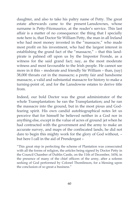daughter, and also to take his paltry name of Petty. The great estate afterwards came to the present Lansdownes, whose surname is Petty-Fitzmaurice, at the reader's service. This last affair is a matter of no consequence: the thing that I specially note here is, that Doctor Sir William Petty, the man in all Ireland who had most money invested in the "massacre," who made most profit on his investment, who had the largest interest in establishing the grand fact of the "massacre," – that this landpirate is palmed off upon us by the Impostor Fronde, as a witness for the said grand fact; nay, as the most moderate witness and most favourable to the Irish people. He cannot see more in it this – moderate and friendly Sir William – than, (say) 38,000 throats cut in the massacre; a pretty fair and handsome massacre, a valid and substantial massacre for history to make a turning-point of, and for the Lansdowne estates to derive title from.

Indeed, our bold Doctor was the great administrator of the whole Transplantation: he ran the Transplantation; and he ran the massacre into the ground, but in the most pious and Godfearing spirit. His own candid autobiographical notes let us perceive that for himself he believed neither in a God nor in anything else, except in the value of acres of ground: jet when he had contracted with the government and the army to make an accurate survey, and maps of the confiscated lands, he did not dare to begin this mighty work for the glory of God without, – but here I call in the aid of Prendergast –

"This great step in perfecting the scheme of Plantation was consecrated with all the forms of religion, the articles being signed by Doctor Petty in the Council Chamber of Dublin Castle, on the 11th of December, 1654, in the presence of many of the chief officers of the army, after a solemn seeking of God performed by Colonel Thomlinson, for a blessing upon the conclusion of so great a business."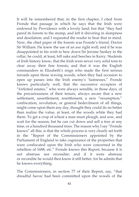It will be remembered that, in the first chapter, I cited from Fronde that passage in which he says that the Irish were endowed by Providence with a lovely land; but that "they had pared its forests to the stump, and left it shivering in dampness and desolation; and I requested the reader to bear that in mind. Now, the chief paper of the forests was Fronde's friend, Doctor Sir William. He knew the use of an axe right well; and if he was disappointed in his wish to hew down Sir Jerome Sankey in the cellar, he could, at least, fell oaks and beeches in Kerry. Students of Irish history know, that the Irish were never very solid tons to clear away their fine forests; and that it was the English commanders in Elizabeth's reign who made the first serious inroads upon those waving woods, when they had occasion to open up passes into the Irish enemy's 'fastnesses." Fronde knows particularly well, that the successive occupiers of "forfeited estates," who were always sensible, in those days, of the precariousness of their tenure, always aware that a new settlement, unsettlement, resettlement, a new "resumption," confiscation, revolution, or general bedevilment of all things, might come upon them any day, thought they could do no better than realize the value, at least, of the woods white they had them. To get a crop of wheat a man must plough, and sow, and wait for the season; bat he can cut down and sell a tree at any time, or a hundred thousand trees. The reason why I say "Fronde knows" all this, is that the whole process is very clearly set forth in the "Report of the Commissioners appointed by the Parliament of England to take cognizance of the properties that were confiscated upon the Irish who were concerned in the rebellion of 1688, etc." Fronde knows this Report, because it is not abstruse nor recondite; and if it were abstruse or recondite he would then know it still better; for he admits that he knows everything.

The Commissioners, in section 77 of their Report, say, "that dreadful havoc had been committed upon the woods of the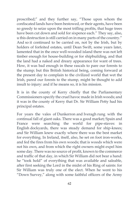proscribed;" and they further say, "Those upon whom the confiscated lands have been bestowed, or their agents, have been so greedy to seize upon the most trifling profits, that huge trees have been cut down and sold for sixpence each." They say, also, u this destruction is still carried on in many parts of the country." And so it continued to be carried on, not by the Irish, but by holders of forfeited estates, until Dean Swift, some years later, lamented that in the once well-wooded island there was not left timber enough for house-building or for shipbuilding, and that the land had a naked and dreary appearance for want of trees. How, it was bad enough in these rascals to pare our forests to the stump; but this British historical being, coming forward at the present day to complain to the civilized world that wet the Irish, pared our forests to the stump, might be thought to add insult to injury: and if he means so, it is his mission.

It is in the county of Kerry chiefly that the Parliamentary Commissioners specify the cruel havoc made in Irish woods; and it was in the county of Kerry that Dr. Sir William Petty had his principal estates.

For years the vales of Dunkerron and Iveragh rung with the continual fall of giant oaks. There was a good market; Spain and France were searching the world for pipe-staves: in English dockyards, there was steady demand for ship-knees; and Sir William knew exactly where there was the best market for everything. In Ireland, itself, also, he set on foot iron-works, and fed the fires from his own woods; that is woods which were not his own, and from which the right owners might expel him some day. There was no source of profit, known to the commerce and traffic of that day, in which Sir William did not bear a hand: he "took hold" of everything that was available and saleable, after first seeking the Lord in the midst of his Ring of saints: for Sir William was truly one of the elect. When he went to his "Down Survey," along with some faithful officers of the Army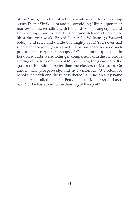of the Saints, I find an affecting narrative of a truly touching scene, Doctor Sir William and his swaddling "Ring" upon their marrow-bones, wrestling with the Lord, with strong crying and tears, calling upon the Lord ("stand and deliver, O Lord!") to bless the great work! Bravo! Doctor Sir William: go forward boldly, and seize and divide this mighty spoil! You never had such a chance in all your varied life before: there were no such prizes in the carpenters' shops of Caen: profits upon pills in London suburbs were nothing in comparison with the victorious sharing of these wide vales of Munster. Yea, the gleaning of the grapes of Ephraim is better than the clusters of Manasses. Go ahead, then, prosperously, and ride victorious, O Doctor: for behold the earth and the fulness thereof is thine; and thy name shall be called, not Petty, but Maher-shalal-hashbaz; "for he hasteth unto the dividing of the spoil."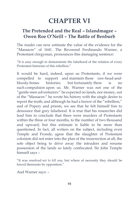## **CHAPTER VI**

#### **The Pretended and the Real – Islandmagee – Owen Roe O'Neill – The Battle of Benburb**

The reader can now estimate the value of the evidence for the "Massacre" of 1641. The Reverend Ferdinando Warner, a Protestant clergyman, pronounces this damaging sentence:

"It is easy enough to demonstrate the falsehood of the relation of every Protestant historian of this rebellion."

It would be hard, indeed, upon us Protestants, if we were compelled to support and maintain those raw-head-andbloody-bones histories; but fortunately there is no such compulsion upon us. Mr. Warner was not one of the "gentle-men adventurers:" he expected no lands, nor money, out of the "Massacre:" he wrote his history with the single desire to report the truth; and although he had a horror of the "rebellion," and of Popery and priests, we see that he felt himself free to denounce that gory falsehood. It is true that his researches did lead him to conclude that there were murders of Protestants within the three or four months, to the number of two thousand and upward; but this estimate is liable to be more than questioned. In fact, all writers on the subject, including even Temple and Fronde, agree that the slaughter of Protestant colonists did not enter into the plan of the insurrection at all, the sole object being to drive away the intruders and resume possession of the lands so lately confiscated. Sir John Temple himself says –

"It was resolved *not to kill any*, but where of necessity they should be forced thereunto by opposition."

And Warner says: –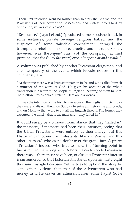"Their first intention went no farther than to strip the English and the Protestants of their power and possessions; and, unless forced to it by opposition, *not to shed any blood*."

"Resistance," (says Leland,) "produced some bloodshed; and, in some instances, private revenge, religions hatred, and the suspicion of some valuable concealment, enraged the triumphant rebels to insolence, cruelty, and murder. So far, however, was the *original scheme* of the conspiracy at first pursued, that *few fell by the sword, except in open war and assault*."

A volume was published by another Protestant clergyman, and a contemporary of the event; which Froude notices in this cavalier style: –

"At that time there was a Protestant parson in Ireland who called himself a minister of the word of God. He gives his account of the whole transaction in a letter to the people of England, begging of them to help, their fellow-Protestants of Ireland. Here are his words:

"'It was the intention of the Irish to massacre all the English. On Saturday they were to disarm them, on Sunday to seize all their cattle and goods, and on Monday they were to cut all the English throats. The former they executed; the third – that is the massacre – they failed in."

It would surely be a curious circumstance, that they "failed in" the massacre, if massacre had been their intention, seeing that the Ulster Protestants were entirely at their mercy. But this Historian cannot endure Protestants, like Mr. Warner and this other "parson," who cast a doubt over the grand fact. A pretty "Protestant" indeed! who tries to make the "turning-point in history" turn the wrong way! A horrible cool-blooded massacre there was, – there must have been, or else our Protestant interest is surrendered; so the Historian still stands upon his thirty-eight thousand mangled corpses. Yet he tries to uphold the story by some other evidence than that of the Adventurers who had money in it. He craves an admission from some Papist. So he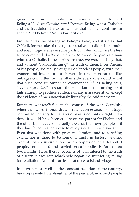gives us, in a note, a passage from Richard Beling's *Vindicioe Catholicorum Hibernioe*. Beling was a Catholic; and the fraudulent Historian tells us that he "half confirms, in shame, Sir Phelim O'Neill's barbarities."

Froude gives the passage in Beling's Latin; and it states that O'Neill, for the sake of revenge (or retaliation) did raise tumults and enact tragic scenes in some parts of Ulster, which are the less to be commended – *if the stories are true* – on the part of a man who is a Catholic. If the stories are true, we would all say that, and without "half-confirming" the truth of them. If Sir Phelim, or his people, did really slaughter defenceless people, with their women and infants, unless it were in retaliation for the like outrages committed by the other side, every one would admit that such conduct cannot be commended, if, as Beling says, "*si vera referuntur*." In short, the Historian of the turning-point fails entirely to produce evidence of any massacre at all, except the evidence of men notoriously living by the said massacre.

But there was *retaliation*, in the course of the war. Certainly, when the sword is once drawn, retaliation *in kind*, for outrage committed contrary to the laws of war is not only a right but a duty. It would have been cruelty on the part of Sir Phelim and the other Irish leaders, – cruelty towards their own people, – if they had failed in such a case to repay slaughter with slaughter. Even this was done with great moderation, and to a trifling extent: nor is there to be found, I think, in history, another example of an insurrection, by an oppressed and despoiled people, commenced and carried on so bloodlessly for at least two months. Here, then, it becomes of vital interest to the truth of history to ascertain which side began the murdering calling for retaliation. And this carries us at once to Island-Magee.

Irish writers, as well as the constant tradition of the country, have represented the slaughter of the peaceful, unarmed people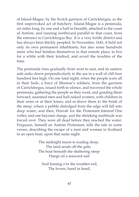of Island-Magee, by the Scotch garrison of Carrickfergus, as the first unprovoked act of butchery. Island-Magee is a peninsula, six miles long, by one and a half in breadth, attached to the coast of Antrim, and running northward parallel to that coast, from the entrance to Carrickfergus Bay. It is a very fertile district and has always been thickly peopled. In November, 1641, it held not only its own permanent inhabitants, but also some hundreds more who had betaken themselves to that remote place, to live for a while with their kindred, and avoid the troubles of the time.

The peninsula rises gradually from west to east, and its eastern side sinks down perpendicularly to the sea in a wall of cliff four hundred feet high. On one fatal night, when the people were all in their beds, a force of Munroe's soldiers, from the garrison of Carrickfergus, issued forth in silence, and traversed the whole peninsula, gathering the people as they went, and goading them forward, unarmed men and half-naked women, with children in their arms or at their knees; and so drove them to the brink of the steep, where a pebble dislodged from the edge will fall into deep water; and then, Hurrah for the Protestant Interest! One volley and one bayonet charge, and the shrieking multitude was forced over. They were all dead before they reached the water. Ferguson, himself an Antrim Protestant, tells the tale in some verses, describing the escape of a man and woman to Scotland in an open boat, upon that same night:

> The midnight moon is wading deep; The land sends off the gale; The boat beneath the sheltering steep Hangs oil a seaward sail:

And leaning o'er the weather-rail, The lovers, hand in hand,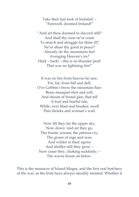Take their last look of Innisfail: – "Farewell, doomed Ireland!"

"And art thou doomed to discord still? And shall thy sons ne'er cease To search and struggle for thine ill? Ne'er share thy good in peace? Already do thy mountains feel Avenging Heaven's ire? Hark – hark! – this is no thunder peal! That was no lightning fire!"

It was no fire from heaven he saw, For, far, from hill and dell, O'er Gobbin's brow the mountain flaw Bears musquet-shot and yell, And shouts of brutal glee, that tell A foul and fearful tale, While, over blast and breaker, swell Thin shrieks and woman's wail.

Now fill they far the upper sky, Now down 'mid air they go, Tho frantic scream, the piteous cry, Tho groan of rage and woe; And wilder in their agony And shriller still they grow – Now cease they, choking suddenly; – The waves boom on below.

This is the massacre of Island-Magee, and the first real butchery of the war, as the Irish have always steadily insisted. Whether it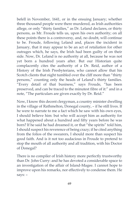befell in November, 1641, or in the ensuing January; whether three thousand people were there murdered, as Irish authorities allege, or only "thirty families," as Dr. Leland declares, or thirty persons, as Mr. Froude tells us, upon his own authority; on all these points there is a controversy, and, no doubt, will continue to be. Froude, following Leland and, places the incident in January, that it may appear to be an act of retaliation for other outrages which, he says, the Irish had been guilty of on their side. Now, Dr. Leland is no authority at all, because he was not yet born a hundred years after. But our Historian quite complacently cites the authority of a Dr. Reid, author of a History of the Irish Presbyterians, who cannot allow that his Scotch clients that night tumbled over the cliff more than "thirty persons," counting only the heads of Leland's thirty families. "Every detail of that business," says Froude, "has been preserved, and can be traced to the minutest fibre of it:" and in a note, "The particulars are given exactly by Dr. Reid."

Now, I know this decent clergyman, a country minister dwelling in the village of Rathmelton, Donegal county, – if he still lives. If he were to narrate to me a fact which he saw with his own eyes, I should believe him: but who will accept him as authority for what happened about a hundred and fifty years before he was born? If he said he had dreamed it, or that "the spirits" told him, I should suspect his reverence of being crazy; if he cited anything from the folios of the swearers, I should more than suspect his good faith. And is it not too audacious in Froude to pretend to stop the mouth of all authority and all tradition, with his Doctor of Donegal?

There is no compiler of Irish history more perfectly trustworthy than Dr. John Curry: and he has devoted a considerable space to an investigation of the affair of Island-Magee. I cannot hope to improve upon his remarks, nor effectively to condense them. He says: –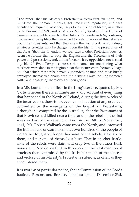"The report that his Majesty's Protestant subjects first fell upon, and murdered the Roman Catholics, got credit and reputation, and was openly and frequently asserted," says Jones, Bishop of Meath, in a letter to Dr. Borlase, in 1679. And Sir Audley Mervin, Speaker of the House of Commons, in a public speech to the Duke of Ormonde, in 1662, confesses, 'that several pamphlets then swarmed to fasten the rise of this rebellion upon the Protestants; and that they drew the first blood.' And, indeed, whatever cruelties may be charged upon the Irish in the prosecution of this Avar, 'their first intention, we see,' says another Protestant voucher, 'went no further than to strip the English and the Protestants of their power and possessions, and, unless forced to it by opposition, not to shed any blood.' Even Temple confesses the same; for mentioning what mischiefs were done in the beginning of this insurrection, 'certainly,' says he, 'that which these rebels mainly intended, at first, and most busily employed themselves about, was the driving away the Englishmen's cattle, and possessing themselves of their goods.'

In a MS. journal of an officer in the King's service, quoted by Mr. Carte, wherein there is a minute and daily account of everything that happened in the North of Ireland, during the first weeks of the insurrection, there is not even an insinuation of any cruelties committed by the insurgents on the English or Protestants; although it is computed by the journalist, 'that the Protestants of that Province had killed near a thousand of the rebels in the first week or two of the rebellion.' And on the 16th of November, 1641, 'Mr. Robert Walbank came from the North, and informed the Irish House of Commons, that two hundred of the people of Coleraine, fought with one thousand of the rebels, slew six of them, and not one of themselves hurt. That in another battle, sixty of the rebels were slain, and only two of the others hurt, none slain.' Nor do we find, in this account, the least mention of cruelties then committed by the Irish; but much of the success and victory of his Majesty's Protestants subjects, as often as they encountered them.

It is worthy of particular notice, that a Commission of the Lords Justices, Parsons and Borlase, dated so late as December 23d,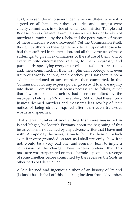1641, was sent down to several gentlemen in Ulster (where it is agreed on all hands that these cruelties and outrages were chiefly committed), in virtue of which Commission Temple and Borlase confess, 'several examinations were afterwards taken of murders committed by the rebels, and the perpetrators of many of these murders were discovered.' Yet the Commission itself, though it authorizes these gentlemen 'to call upon all those who had then suffered in the rebellion, and all the witnesses of these sufferings, to give in examinations of the nature of them, and of every minute circumstance relating to them, expressly and particularly specifying every other crime usual in insurrections, and, then committed, in this, viz., plunder, robbery, and even traitorous words, actions, and speeches: yet I say there is not a syllable mentioned of any murders, then committed, in this Commission, nor any express power given by it to make inquiry into them. From whence it seems necessarily to follow, either that few or no such cruelties had been committed by the insurgents before the 23d of December, 1641, or that these Lords Justices deemed murders and massacres less worthy of their notice, of being strictly inquired after, than even traitorous words and speeches.

That a great number of unoffending Irish were massacred in Island-Magee, by Scottish Puritans, about the beginning of this insurrection, is not denied by any adverse writer that I have met with. An apology, however, is made for it by them all, which even if it were grounded on fact, as I shall presently show it is not, would be a very bad one, and seems at least to imply a confession of the charge. These writers pretend that this massacre was perpetrated on those harmless people in revenge of some cruelties before committed by the rebels on the Scots in other parts of Ulster. \* \* \* \*

A late learned and ingenious author of an history of Ireland (Leland) has shifted off this shocking incident from November,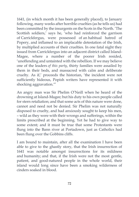1641, (in which month it has been generally placed), to January following, many weeks after horrible cruelties (as he tells us) had been committed by the insurgents on the Scots in the North. 'The Scottish soldiers,' says he, 'who had reinforced the garrison of Carrickfergus, were possessed of an habitual hatred of Popery, and inflamed to an implacable detestation of the Irish, by multiplied accounts of their cruelties. In one fatal night they issued from Carrickfergus into an adjacent district called Island-Magee, where a number of the poorer Irish resided, 'unoffending and untainted with the rebellion. If we may believe one of the leaders *of this party*, thirty families were assailed by them in their beds, and massacred with calm and deliberate cruelty. As if,' proceeds the historian, 'the incident were not sufficiently hideous, Popish writers have represented it with shocking aggravation.'"

An angry man was Sir Phelim O'Neill when he heard of the drowning at Island-Magee; but his duty to his own people called for stern retaliation; and that some acts of this nature were done, cannot and need not be denied. Sir Phelim was not naturally disposed to cruelty, and had anxiously sought to keep his men, – wild as they were with their wrongs and sufferings, within the limits prescribed at the beginning. Yet he had to give way to some extent; and it must be true that some Protestants were flung into the Bann river at Portadown, just as Catholics had been flung over the Gobbins cliffs.

I am bound to maintain, after all the examination I have been able to give to the ghastly story, that the Irish insurrection of 1641 was notable amongst insurrections for its mildness and humanity; and that, if the Irish were not the most gentle, patient, and good-natured people in the whole world, their island would long since have been a smoking wilderness of cinders soaked in blood.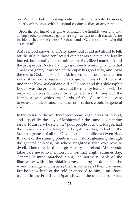Sir William Petty, looking calmly into the whole business, shortly after, says, with his usual coolness, that, at any rate:

"Upon the playing of this game, or match, the English won, and had, amongst other pretences, a gamester's right at least to their estates. As for the blood shed in the contest for these lands, God best knows who did occasion it!"

Ah! yes; God knows; and Petty knew; but could not afford to tell; for the title to those confiscated estates was at stake; not legally indeed, but morally, in the estimation of civilized mankind; and the prosperous Doctor, having a gloriously winning hand in that "match or game," was content to enjoy his good luck, and leave the rest to God. The English did, indeed, win the game, after ten years of painful struggle and carnage; for Ireland did not sink under one blow, as Scotland did, at Dunbar: and this philosophic Doctor was the principal carver at the mighty feast of spoil. The insurrection was followed by a general war throughout the island, a war which the Lords of the Council took care to *make* general, because then the confiscations would be general also.

In the course of the war there were some bright clays for Ireland, and especially the day of Benburb; for the same covenanting rascal, Munroe, who slew the "poor people of Island-Magee, had the ill-luck, six years later, on a bright June day, to look in the face the greatest of all the O'Neills, the magnificent Owen Hoe. It is one of the shining points in our history, gleaming through the general darkness, on whose brightness Irish eyes love to dwell. Therefore, in this large History of Ireland, Mr. Fronde takes care never to mention how, on that bright summer day, General Munroe marched along the northern bank of the Blackwater with a formidable army, making no doubt that he would dislodge and disperse the Irish chiefs and their clansmen. But he knew little of the soldier opposed to him, – an officer trained in the French and Spanish wars; the defender of Arras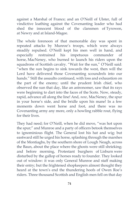against a Marshal of France; and an O'Neill of Ulster, full of vindictive loathing against the Covenanting leader who had shed the innocent blood of the clansmen of Tyrowen, at Newry and at Island-Magee.

The whole forenoon of that memorable day was spent in repeated attacks by Munroe's troops, which were always steadily repulsed. O'Neill kept his men well in hand, and especially restrained his impetuous commander of horse, MacNeney, who burned to launch his riders upon the squadrons of Scottish cavalry. "Wait for the sun," O'Neill said: "when the sun begins to sink towards the west, then will the Lord have delivered those Covenanting scoundrels into our hands." Still the assaults continued, with loss and exhaustion on the part of the enemy; until the prudent Irish chief, who observed the sun that day, like an astronomer, saw that its rays were beginning to dart into the faces of the Scots. Now, steady, rapid, advance all along the line! And, *now*, MacNeney, the spur in your horse's side, and the bridle upon his mane! In a few moments down went horse and foot, and there was no Covenanting army any more, only a howling rabble rout, flying for their lives.

They had need; for O'Neill, when he did move, "was hot upon the spur;" and Munroe and a party of officers betook themselves to ignominious flight. The General lost his hat and wig; but eastward still he urged his horse, splashing through the marshes of the Montiaghs, by the southern shore of Lough Neagh, across the Baun, about the place where the ghosts were still shrieking; and before morning, Protestant burghers of Lisburn were disturbed by the gallop of horses ready to founder. They looked out of window: it was only General Munroe and staff making their entry; but the frightened shopkeepers almost thought they heard at the town's end the thundering hoofs of Owen Roe's riders. Three thousand Scottish and English men fell on that day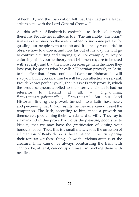of Benburb; and the Irish nation felt that they had got a leader able to cope with the Lord General Cromwell.

As this affair of Benburb is creditable to Irish soldiership, therefore, Froude never alludes to it. The miserable "Historian" is always anxiously on the watch, rather to find some pretext for goading our people with a taunt; and it is really wonderful to observe how low down, and how far out of his way, he will go to contrive a cutting and stinging gibe. For example, by way of enforcing his favourite theory, that Irishmen require to be used with severity, and that the more you scourge them the more they love you, he quotes what he calls a Hibernian proverb, in Latin, to the effect that, if you soothe and flatter an Irishman, he will stab you, but if you kick him he will be your affectionate servant. Froude knows perfectly well, that this is a French proverb, which the proud seigneurs applied to their serfs, and that it had no reference to Ireland at all: – "*Oignez vilain; il vous poindra: poignez vilain; il vous oindra*" But our kind Historian, finding the proverb turned into a Latin hexameter, and perceiving that *Hibernicus* fits the measure, cannot resist the temptation. The Irish, according to him, made a proverb on themselves, proclaiming their own dastard servility. They say to all mankind in this proverb – Do us the pleasure, good sirs, to kick its, that we may have the gratification of kissing your honours' boots! True, this is a small matter: so is the omission of all mention of Benburb: so is the taunt about the Irish paring their forests; yet these things show the vicious animus of the creature. If he cannot be always bombarding the Irish with cannon, he, at least, can occupy himself in pricking them with needles.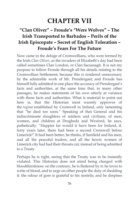# **CHAPTER VII**

## **"Clan Oliver" – Froude's "Were Wolves" – The Irish Transported to Barbados – Perils of the Irish Episcopate – Secret of English Toleration – Froude's Fears For The Future**

Now came in the deluge of Cromwellians, who were termed by the Irish *Clan Oliver*, as the invaders of Elizabeth's day had been called sometimes Clan London, or Clan Sacsanagh. It is not my purpose to follow Fronde through all his details relating to the Cromwellian Settlement; because this is rendered unnecessary by the admirable work of Mr. Prendergast; and Froude has himself fully admitted in one place the accuracy of Prendergast's facts and authorities, at the same time that, in many other passages, he makes statements of his own utterly at variance with those facts and authorities. What is material to point out here is, that the Historian most warmly approves of the *regime* established by Cromwell in Ireland, only lamenting that "he died too soon." Speaking of that General and his indiscriminate slaughters of soldiers and civilians, of men, women, and children at Drogheda and Wexford, he says, pathetically: "Happier far would it have been for Ireland, if, forty years later, there had been a second Cromwell before Limerick!" It had been better, he thinks, if Sarsfield and his men, and all the peaceful traders, and all the heroic women of Limerick city had had their throats cut, instead of being admitted to a Treaty.

Perhaps he is right, seeing that the Treaty was to be instantly violated. This Historian does not mind being charged with bloodthirstiness: on the contrary, he is flattered by it: he loves to write of blood, and to urge on other people the duty of shedding it: the odour of gore is grateful to his nostrils; and he despises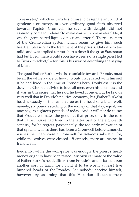"rose-water," which is Carlyle's phrase to designate any kind of gentleness or mercy, or even ordinary good faith observed towards Papists. Cromwell, he says with delight, did not assuredly come to Ireland "to make war with rose-water." No, it was the genuine red liquid, venous and arterial. There is no part of the Cromwellian system which seems to give him. such heartfelt pleasure as the treatment of the priests. Only it was too mild, and was applied for too short a time: if the great Statesman had but lived, there would soon have been not a single priest left to "work mischief;" – for this is his way of describing the saying of Mass.

The good Father Burke, who is so amiable towards Fronde, must be all the while aware of how it would have fared with himself if he had lived in the time of Fronde's hero. Doubtless it is the duty of a Christian divine to love all men, even his enemies; and it was in this sense that he said he loved Froude. But he knows very well that in Froude's political economy, his (Father Burke's) head is exactly of the same value as the head of a bitch-wolf; namely, six pounds sterling of the money of that day, equal, we may say, to eighteen pounds of today. And it will not do to say that Froude estimates the goods at that price, only in the case that Father Burke had lived in the latter part of the eighteenth century; for he regrets, passionately, the too-early relaxation of that system; wishes there had been a Cromwell before Limerick; wishes that there were a Cromwell for Ireland's sake *now*: for, while the wolves were cleared off entirely, there are priests in Ireland still.

Evidently, while the wolf-price was enough, the priest's headmoney ought to have been raised. My own estimate of the value of Father Burke's head, differs from Froude's, and is based upon another sort of tariff; for I hold it to be worth at least five hundred heads of the Frondes. Let nobody deceive himself, however, by assuming that this Historian discusses these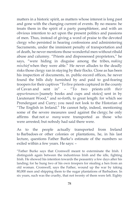matters in a historic spirit, as matters whose interest is long past and gone with the changing current of events. By no means: he treats them in the spirit of a party pamphleteer, and with an obvious intention to act upon the present politics and passions of men. Thus, instead of giving a word of praise to the devoted clergy who persisted in hearing confessions and administering Sacraments, under the imminent penalty of transportation and of death, he never mentions those wonderful men without ribald abuse and calumny. "Priests and dispossessed proprietors," he says, "were hiding in disguise among the tribes, *making mischief* when they were able." He never alludes to the deadly risks those clergy ran in staying by their flocks. Close as has been his inspection of documents, in. public-record offices, he never found the bills duly furnished by and paid to god-fearing troopers for their captives "To five priests captured in the county of Cavan and sent in" – "To two priests *with their appurtenances* [namely books and cups and stoics] sent in by Lieutenant Wood," and so-forth, to great length: for which see Prendergast and Curry; you need not look to the Historian of "The English in Ireland." He cannot help, indeed, mentioning some of the severe measures used against the clergy; he only affirms that not *so many* were transported as those who were arrested; but nobody had said there were.

As to the people actually transported from Ireland to Barbadoes or other colonies or plantations, he, in his last lecture, questions Father Burke's estimate of the numbers so exiled within a few years. He says: –

"Father Burke says that Cromwell meant to exterminate the Irish. I distinguish again between the industrious Irish and the idle, fighting Irish. He showed his intention towards the peasantry a few days after his landing; for he hung two of his own troopers for stealing a hen from an old woman. Cromwell, says the Father, wound up the war by taking 80,000 men and shipping them to the sugar plantations of Barbadoes. In six years, such was the cruelty, that not twenty of them were left. Eighty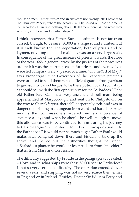thousand men, Father Burke! and in six years not twenty left! I have read the Thurlow Papers, where the account will be found of these shipments to Barbadoes. I can find nothing about 80,000 men there. When were they sent out, and how, and in what ships?"

I think, however, that Father Burke's estimate is not far from correct; though, to be sure, 80,000 is a large round number. But it is well known that the deportation, both of priests and of laymen, of young men and maidens, was on a very large scale. In consequence of the great increase of priests towards the close of the year 1665, a general arrest by the justices of the peace was ordered: it was the sporting season for priests, and even wolves were left comparatively at peace for a time. "On the 3rd of May," says Prendergast, "the Governors of the respective precincts were ordered to send them with sufficient guards from garrison to garrison to Carrickfergus, to be there put-on board such ships as should sail with the first opportunity for the Barbadoes." Poor old Father Paul Cashin, a, very ancient and frail man, being apprehended at Maryborough, and sent on to Philipstown, on the way to Carrickfergus, there fell desperately sick, and was in danger of perishing in a dungeon from want and hardship. After months the Commissioners ordered him an allowance of sixpence a day; and when he should be well enough to move, this allowance was to be continued to him during his journey to Carrickfergus "in order to his transportation to the Barbadoes." It would not be much sugar Father Paul would make, after being set down there and bidden to take up the shovel and the hoe; but the authorities thought that under a Barbadoes planter he would at least be kept from "mischief," that is, from Mass and Confession.

The difficulty suggested by Froude in the paragraph above cited, – How, and in what ships were these 80,000 sent to Barbadoes? is not so very serious a difficulty. The operation extended over several years, and shipping was not so very scarce then, either in England or in Ireland. Besides, Doctor Sir William Petty and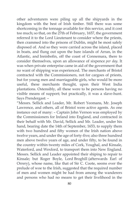other adventurers were piling up all the shipyards in the kingdom with the best of Irish timber. Still there was some shortcoming in the tonnage available for this service, and it cost too much; so that, on the 27th of February, 1657, the government referred it to the Lord Lieutenant to consider where the priests, then crammed into the prisons of Dublin, might be most safely disposed of. And so they were carried across the island, placed in boats, and flung out upon the bare islands of Arran, in the Atlantic, and Innisbofin, off the coast of Connemara, there to consider themselves, upon an allowance of sixpence *per day*. It was when private enterprise came in aid of the government that no want of shipping was experienced. The merchants of Bristol contracted with the Commissioners, not for cargoes of priests, but for young men and marriageable girls, who would be more useful, these merchants thought, upon their West India plantations. Ostensibly, all these were to be persons having no visible means of support; but practically, it was a slave-hunt. Says Prendergast: –

"Messrs. Sellick and Leader, Mr. Robert Yeomans, Mr. Joseph Lawrence, and others, all of Bristol were active agents. As one instance out of many: – Captain John Vernon was employed by the Commissioners for Ireland into England, and contracted in their behalf with Mr. David, Sellick and Mr. Leader, under his hand, bearing date the 14th of September, 1653, to supply them with two hundred and fifty women of the Irish nation above twelve years, and under the age of forty-five; also three hundred men above twelve years of age, and under fifty, to be found in the country within twenty miles of Cork, Youghal, and Kinsale, Waterford, and Wexford, to transport them into New England. Messrs. Sellick and Leader appointed their shiping to repair to Kinsale; but Roger Boyle, Lord Broghill (afterwards Earl of Orrery), whose name, like that of Sir C. Coote, seems ever the prelude of woe to the Irish, suggested that the required number of men and women might be had from among the wanderers and persons who had no means to get their livelihood in the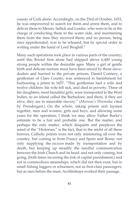county of Cork alone. Accordingly, on the 23rd of October, 1653, he was empowered to search for them and arrest them, and to deliver them to Messrs. Sellick and Leader, who were to be at the charge of conducting them to the water side, and maintaining them from the time they received them; and no person, being once apprehended, was to be released, but by special order in writing under the hand of Lord Broghill."

Many such operations took place in various parts of the country; until this Bristol firm alone had shipped above 6,400 young strong people within the desirable ages. Many a girl of gentle birth and delicate nurture must have been seized by those slavedealers and hurried to the private prisons. Daniel Connery, a gentleman of Clare County, was sentenced to banishment for harbouring a priest in 1657. "This gentleman had a wife and twelve children: his wife fell sick, and died in poverty. Three of his daughters, most beautiful girls, were transported to the West Indies, to an island called the Barbadoes; and there, if they are alive, they are in miserable slavery." (*Morison's Threnodia:* cited by Prendergast.) On the whole, taking priests and laymen together, men and women, girls and boys, and allowing some years for the operation, I think we may allow Father Burke's estimate to be a fair and probable one. But the matter, and perhaps the only matter, which disquiets anil perplexes the mind of the "Historian," is the fact, that in the midst of all these horrors, Catholic priests were not only ministering all over the country, but coming in from France and Spain and Rome; not only supplying the *vacuum* made by transportation and by death, but keeping up steadily the needful communication between the Irish Church and its head: and not only coming, but going, (both times incurring the risk of capital punishment,) and not in commodious steamships, which did not then exist, but in small fishing luggers or schooners; not as first-class passengers, but as men before the mast. Archbishops worked their passage.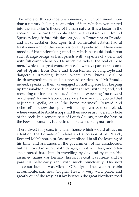The whole of this strange phenomenon, which continued more than a century, belongs to an order of facts which never entered into the Historian's theory of human nature. It is a factor in the account that he can find no place for: he gives it up. Yet Edmund Spenser, long before this day, as good a Protestant as Froude, and an undertaker, too, upon Irish confiscated estates, had at least some-what of the poetic vision and poetic soul. There were moods of his undertaking mind in which he could look upon such strange beings as Irish priests with a species of awe, if not with full comprehension. He much marvels at the zeal of these men, "which is a great wonder to see how they spare not to come out of Spain, from Rome and from Remes, by long toyle and dangerous traveling hither, where they know peril of death awayteth them and no reward or richesse." Mr Froude, indeed, speaks of them as engaged in nothing else but keeping up treasonable alliances with countries at war with England, and recruiting for foreign armies. As for their expecting "no reward or richesse" for such laborious service, he would bid you tell that to Judaeus Apella, or to "the horse marines!" "Reward and richesse!" I know the spots, within my own part of Ireland, where venerable Archbishops hid themselves as it were in a hole of the rock. In a remote part of Louth County, near the base of the Fews mountains, is a retired nook called Ballymascanlon.

There dwelt for years, in a farm-house which would attract no attention, the Primate of Ireland and successor of St. Patrick, Bernard McMahon, a prelate accomplished in all the learning of his time, and assiduous in the government of his archdiocese; but he moved in secret, with danger, if not with fear, and often encountered hardships in travelling by day and by night. His assumed name was Bernard Ennis; his coat was frieze; and he paid his half-yearly rent with much punctuality. His next successor, but one, was Michael O'Reilly: and he dwelt in a cabin at Termoufeckin, near Clogher Head, a very wild place, and greatly out of the way, as it lay between the great Northern road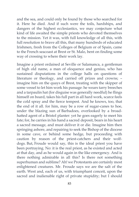and the sea, and could only be found by those who searched for it. Here he died. And if such were the toils, hardships, and dangers of the highest ecclesiastics, we may conjecture what kind of life awaited the simple priests who devoted themselves to the mission. Yet it was, with full knowledge of all this, with full resolution to brave all this, that many hundreds of educated Irishmen, fresh from the Colleges of Belgium or of Spain, came to the French seacoast at Brest or St. Malo, bent on finding some way of crossing to where their work lay.

Imagine a priest ordained at Seville or Salamanca, a gentleman of high old name, a man of eloquence and genius, who has sustained disputations in the college halls on questions of literature or theology, and carried off prizes and crowns; – imagine him on the quays of Brest, treating with the skipper of some vessel to let him work his passage: he wears tarry breeches and a tarpaulin hat (for disguise was generally needful) he flings himself on board, takes his full part in all hard work, scarce feels the cold spray and the fierce tempest. And he knows, too, that the end of it all. for him, may be a row of sugar-canes to hoe, under the blazing sun of Barbadoes, overlooked by a broadhatted agent of a Bristol planter: yet he goes eagerly to meet his fate; for, he carries in his hand a sacred deposit, bears in his heart a sacred message, and must deliver it or die. Imagine him then springing ashore, and repairing to seek the Bishop of the diocese in some cave, or behind some hedge, but proceeding with caution by reason of the priest-catchers and their wolfdogs. But, Froude would say, this is the ideal priest you have been portraying. No: it is the real priest, as he existed and acted at that day, and as he would again in the like emergency. And is there nothing admirable in all this? Is there not something superhuman and sublime? Ah! we Protestants are certainly most enlightened creatures. Mr. Froude says we are the salt of the earth. West and, each of us, with triumphant conceit, upon the sacred and inalienable right of private stupidity; but I should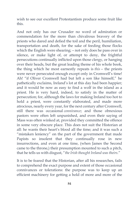wish to see our excellent Protestantism produce some fruit like this.

And not only has our Crusader no word of admiration or commendation for the more than chivalrous bravery of the priests who dared and defied the toil and the peril, humiliation, transportation and death, for the sake of feeding those flocks which the English were shearing; – not only does he pass over in silence, or make light of, or attempt to deny, the frightful persecutions continually inflicted upon those clergy, or hanging over their heads, but the great leading theme of his whole book, the thing which he most earnestly repeats is *this* – the priests were never persecuted enough except only in Cromwell's time! Ah! "if Oliver Cromwell had but left a son like himself," he pathetically exclaims, Ireland's lot at this day had been happier; and it would be now as easy to find a wolf in the island as a priest. He is very hard, indeed, to satisfy in the matter of persecution; for, although the laws for making Ireland too hot to hold a priest, were constantly elaborated, and made more atrocious, nearly every year, for the next century after Cromwell, still there was occasional *connivance*; and those obnoxious pastors were often left unpunished, and even their saying of Mass was often winked at, provided they committed the offence in some very obscure place. This does not suit the Historian at all: he wants their heart's blood all the time; and it was such a "mistaken leniency" on the part of the government that made Papists so insolent that they continually rose in new insurrections, and even at one time, (when James the Second came to the throne,) their presumption mounted to such a pitch, that he tells us with disgust, "*the Irish thought Ireland was theirs.*"

It is to be feared that the Historian, after all his researches, fails to comprehend the exact purpose and extent of those occasional connivances or tolerations: the purpose was to keep up an efficient machinery for getting a hold of more and more of the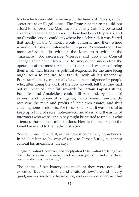lands which were still remaining in the hands of Papists, under secret trusts or illegal leases. The Protestant interest could not afford to suppress the Mass, so long as any Catholic possessed an acre of land or a good horse. If there had been 110 priests, and no Catholic service could anywhere be celebrated, it was feared that nearly all the Catholics would conform; and then, where would our Protestant interest be! Our good Protestants could no more afford to do without the Mass than without the "massacre." So, successive Viceroys and Lords of Council changed their policy from time to time, either suspending the operation of the most ferocious of the penal laws, or enforcing them in all their horror, as political exigencies for the time being might seem to require. Mr. Froude, with all his unbending Protestant honesty, must really have some indulgence for people who, after doing the work of the Lord so well, felt that they had not yet received their full reward: for certain Papist Hittites, Edomites, and Amalekites, could still be found, by means of earnest and prayerful diligence, who were fraudulently receiving the rents and profits of their own estates, and thus cheating honest colonists. For these Amalekites it was needful to keep up a kind of secret hole-and-corner Mass; and the army of informers who were kept in pay might be trusted to find out who attended those useful ministrations. Here is the true key to the Penal Laws and to their administration.

Yes: evil must come of it, as this honest being truly apprehends. In his last lecture, by way of reply to Father Burke, he cannot conceal his uneasiness. He says: –

"England is afraid, however, and deeply afraid. She is afraid of being ever driven to use again those measures of coercion against Ireland which have been the shame of her history."

The shame of her history, inasmuch as they were not duly executed! But what is England afraid of now? Ireland is very quiet, and so free from disturbance, and every sort of crime, that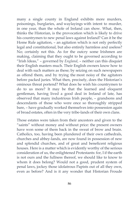many a single county in England exhibits more murders, poisonings, burglaries, and waylayings with intent to murder, in one year, than the whole of Ireland can show. What, then, thinks the Historian, is the provocation which is likely to drive his countrymen to new penal laws against Ireland? Can it be the Home Rule agitation, – an agitation which is not only perfectly legal and constitutional, but also entirely harmless and useless? No; certainly not this. As for the outcry some Irishmen are making, claiming that they ought to be governed according to "Irish Ideas," – governed by *England*, – neither can this disquiet their English masters much. Their English owners know how to deal with such matters as these; by seizing on such newspapers as offend them, and by trying the most noisy of the agitators before packed juries. What then, precisely, does the Historian's ominous threat portend? What does he wish his countrymen to do to us more? It may be that the learned and eloquent gentleman, having lived a good deal in Ireland of late, has observed that many industrious Irish people, – grandsons and descendants of those who were once so thoroughly stripped bare, – have gradually worked themselves into possession again of broad estates, often in the very tribe-lands of their own clans.

Those estates were taken from their ancestors and given to the "saints" without money and without price: the present owners have won some of them back in the sweat of brow and brain. Catholics, too, having been plundered of their own cathedrals, churches and abbey-lands, are now found in possession of new and splendid churches, and of great and beneficent religious houses. Here is a matter which is evidently worthy of the serious consideration of us, the enlightened Protestants: for, I if the earth is not ours and the fullness thereof, we should like to know to whom it does belong? Would not a good, prudent system of penal laws, jockey those idolatrous Papists out of all they own, even as before? And is it any wonder that Historian Froude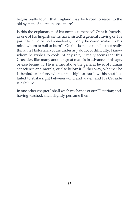begins really to *fear* that England may be forced to resort to the old system of coercion once more?

Is this the explanation of his ominous menace? Or is it (merely, as one of his English critics has insisted) a general craving on his part "to burn or boil somebody, if only he could make up his mind whom to boil or burn?" On this last question I do not really think the Historian labours under any doubt or difficulty. I know whom he wishes to cook. At any rate, it really seems that this Crusader, like many another great man, is in advance of his age, or else behind it. He is either above the general level of human conscience and morals, or else below it. Either way, whether he is behind or before, whether too high or too low, his shot has failed to strike right between wind and water: and his Crusade is a failure.

In one other chapter I shall wash my hands of our Historian; and, having washed, shall slightly perfume them.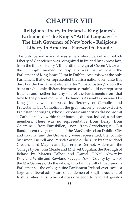## **CHAPTER VIII**

### **Religious Liberty in Ireland – King James's Parliament – The King's "Artful Language" – The Irish Governor of New York – Religious Liberty in America – Farewell to Froude**

The only period – and it was a very short period – in which Liberty of Conscience was recognized in Ireland by express law, from the time of Henry VIII., until the reign of Queen Victoria – the *only* bright moment of respite – was that in which the Parliament of King James II. sat in Dublin. And this was the only Parliament that ever represented the Irish nation even unto this day. For the Parliament elected after "Emancipation," upon the basis of wholesale disfranchisement, certainly did not represent Ireland; and neither has any one of the Parliaments from that time to the present moment. The famous Assembly convened by King James, was composed indifferently of Catholics and Protestants, but Catholics in the great majority. Some exclusive Protestant boroughs, whose Corporate authorities did not admit a Catholic to live within their bounds, did not, indeed, send any members. There was no representative from Derry, from Coleraine, from Enniskillen, nor from Carrickfergus. But Bandon sent two gentlemen of the MacCarthy clan; Dublin, City and County, and the University were represented, the County by Simon Luttrell and Patrick Sarsfield; the City by Sir Michael Creagh, Lord Mayor; and by Terence Dermot, Alderman; the College by Sir John Meade and Michael Coghlan; the Borough of Belfast by Marcus Talbot and Daniel O'Neill; Newry by Rowland White and Rowland Savage; Down County by two of the MacGennises. On the whole, I find in the roll of that famous Parliament, – the only genuine Parliament Ireland ever saw – a largo and liberal admixture of gentlemen of English race and of Irish families; a list which it does one good to read: Fitzgeralds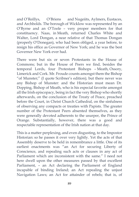and O'Reillys, O'Briens and Nugeiits, Aylmers, Eustaces, and Archbolds. The borough of Wicklow was represented by an O'Byrne and an O'Toole – very proper members for that constituency. Naas, in Meath, returned Charles White and Walter, Lord Dongan, a near relative of that Thomas Dongan (properly O'Donegan), who had been obliged, a year before, to resign his office as Governor of New York; and he was the best Governor New York ever had.

There were but six or seven Protestants in the House of Commons; but in the House of Peers we find, besides the temporal Lords, four Protestant Bishops – Meath, Ossory, Limerick and Cork. Mr. Froude counts amongst them the Bishop "of Munster;" (I quote Scribner's edition); but there never was any Bishop of Munster: and the Historian must mean Dr. Dopping, Bishop of Meath, who is his especial favorite amongst all the Irish episcopacy, being in fact the very Bishop who shortly afterwards, on the conclusion of the Treaty of Peace, preached before the Court, in Christ Church Cathedral, on the sinfulness of observing any compacts or treaties with Papists. The greater number of the Protestant Peers absented themselves, as they were generally devoted adherents to the usurper, the Prince of Orange. Substantially, however, there was a good and respectable representation of the Irish nation at that day.

This is a matter perplexing, and even disgusting, to the Impostor Historian: so he passes it over very lightly. Yet the acts of that Assembly deserve to be held in remembrance a little. One of its earliest enactments was "an Act for securing Liberty of Conscience, and repealing such acts or clauses in any act of Parliament which are inconsistent with the same." I need not here dwell upon the other measures passed by that excellent Parliament, – an Act declaring the Parliament of England incapable of binding Ireland; an Act repealing the unjust Navigation Laws; an Act for attainder of rebels; that is, of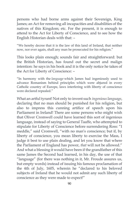persons who had borne arms against their Sovereign, King James; an Act for removing all incapacities and disabilities of the natives of this Kingdom; etc. For the present, it is enough to attend to the Act for Liberty of Conscience, and to see how the English Historian deals with that: –

"We hereby decree that it is the law of this land of Ireland, that neither now, nor ever again, shall any man be prosecuted for his religion."

This looks plain enough; sounds fair and straightforward: but the British Historian, has found out the secret and malign intention: he says in his book and it is the only notice he takes of the Act for Liberty of Conscience: –

"In harmony with the *language* which James had ingeniously used to advance Romanism behind principles which were abjured in every Catholic country of Europe, laws interfering with liberty of conscience were declared repealed."

What an artful tyrant! Not only to invent such *ingenious language*, declaring that no man should be punished for his religion, but also to impress this cunning artifice of speech upon his Parliament in Ireland! There are some persons who might wish that Oliver Cromwell could have learned this sort of ingenious language, instead of saying to General Taaffe, who attempted to stipulate for Liberty of Conscience before surrendering Ross: "I meddle," said Cromwell, "with no man's conscience; but if, by liberty of conscience, you mean liberty to exercise the Mass, I judge it best to use plain dealing, and let you know that where the Parliament of England has power, *that* will not be allowed." And what a blessing it would have been if the grandfather of this same James the Second had learned, in his day, the use of that "language" (for there was nothing in it, Mr. Froude assures us, but empty words) instead of issuing his famous proclamation of the 4th of July, 1605, wherein he "declared to his beloved subjects of Ireland that he would not admit any such liberty of conscience as they were made to expect!"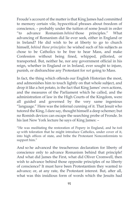Froude's account of the matter is that King James had committed to memory certain vile, hypocritical phrases about freedom of conscience, – probably under the tuition of some Jesuit in order "to advance Romanism *behind* those principles." What advancing of Romanism did lie ever seek, either in England or in Ireland? He did wish to be at liberty to go to church himself, *behind those principles*: he wished such of his subjects as chose to be Catholics to be free to hear Mass, and make Confession without being fined, whipped, pilloried, or transported. But, neither he, nor any government official in his reign, whether in England or in Ireland, ever sought to injure, punish, or disfranchise any Protestant for *not* going to Mass.

In fact, the thing which offends our English Historian the most, and admonishes him to touch lightly on that whole subject, and drop it like a hot potato, is the fact that King James' own actions, and the measures of the Parliament which he called, and the administration of law in the High Courts of the Kingdom, were all guided and governed by the very same ingenious "language." Here was the infernal cunning of it. That Jesuit who tutored the King, I dare say, thought himself a deep schemer; but no Romish devices can escape the searching probe of Fronde. In his last New York lecture he says of King James: –

"He was meditating the restoration of Popery in England, and he *took up* with toleration that he might introduce Catholics, under cover of it, into high offices of state, and bribe the Protestant Nonconformists to support him."

And so he advanced the treacherous declaration for liberty of conscience only to advance Romanism behind that principle! And what did James the First, what did Oliver Cromwell, then wish to advance behind those opposite principles of no liberty of conscience? It must have been Protestantism they wanted to advance; or, at any rate, the Protestant interest. But, after all, what was this insidious form of words which the Jesuits had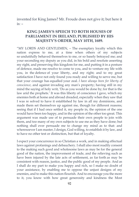invented for King James? Mr. Froude does not give it; but here it  $is: -$ 

#### **KING JAMES'S SPEECH TO BOTH HOUSES OF PARLIAMENT IN IRELAND, PUBLISHED BY HIS MAJESTY'S ORDER, MAY 10TH, 1689.**

"MY LORDS AND GENTLEMEN, – The exemplary loyalty which this nation express to me, at a time when others of my subjects so undutifully behaved themselves to me, or so basely betrayed me; and your seconding my deputy as you did, in his bold and resolute asserting my right, and preserving this kingdom for me, and putting it in a posture of defence, made me resolve to come to you, and to venture my life with you, in the defence of your liberty, and my right; and to my great satisfaction I have not only found you ready and willing to serve me, but that your courage has equalled your zeal. *I have always been for liberty of conscience*, and against invading any man's property; having still in my mind the saying of holy writ, 'Do as you would be done by; for that is the law arid the prophets.' It was this liberty of conscience I gave, which my enemies both at home and abroad dreaded, especially when they saw that I was re solved to have it established by law in all my dominions, and made them set themselves up against me, though for different reasons; seeing that if I had once settled it, my people in, the opinion of the one would have been too happy, and in the opinion of the other too great. This argument was made use of to persuade their own people to join with them, and too many of my own subjects to use me as they have done; but nothing shall ever persuade me to change my mind as to that: and wheresoever I am master, I design, God willing, to establish it by law, and to have no other test or distinction, but that of loyalty.

I expect your concurrence in so Christian a work, and in making effectual laws against profanings and debauchery. I shall also most readily consent to the making such good and wholesome laws as may be for the general good of the nation, the improvement of trade, and the relieving such as have been injured by the late acts of settlement, as far forth as may be consistent with reason, justice, and the public good of my people. And as I shall do my part to make you happy and rich, so I make no doubt of your assistance, by enabling me to oppose the unjust designs of my enemies, and to make this nation flourish. And to encourage you the more to it, you know with how great generosity and kindness the Most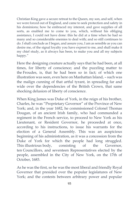Christian King gave a secure retreat to the Queen, my son, and self, when we were forced out of England, and came to seek protection and safety in his dominions; how he embraced my interest, and gave supplies of all sorts, as enabled me to come to you, which, without his obliging assistance, I could not have done: this he did at a time when he had so many and so considerable enemies to deal with; and so still continues to do. I shall conclude as I began, and assure you, I am as sensible as you can desire me, of the signal loyalty you have exprest to me, and shall make it my chief study, as it always has been, to make you and all my subjects happy."

Here the designing creature actually says that he had been, at all times, for liberty of conscience; and the puzzling matter to the Froudes, is, that he had been so in fact; of which one illustration was seen, even here on Manhattan Island, – such was the malign cunning of that artful tyrant, in spreading far and wide over the dependencies of the British Crown, that same shocking delusion of liberty of conscience.

When King James was Duke of York, in the reign of his brother, Charles, he was "Proprietary Governor" of the Province of New York; and, in the year 1682, he commissioned Colonel Thomas Dougan, of an ancient Irish family, who had commanded a regiment in the French service, to proceed to New York as his Lieutenant, or Resident Governor, he proceeded at once, according to his instructions, to issue his warrants for the election of a General Assembly. This was an auspicious beginning of his administration, as it was a concession from the Duke of York for which the people had long struggled. This illustrious body, consisting of the Governor, ten Councillors, and seventeen Representatives elected by the people, assembled in the City of New York, on the 17th of October, 1683.

As he was the first, so he was the most liberal and friendly Royal Governor that presided over the popular legislatures of New York; and the contests between arbitrary power and popular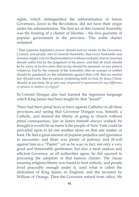rights, which distinguished the administration of future Governors, down to the Revolution, did not have their origin under his administration. The first act of this General Assembly was the framing of a charter of liberties – the first guaranty of popular government in the province. This noble charter ordained:

"That supreme legislative power should forever reside in the Governor, Council, and people, met in General Assembly; that every freeholder and freeman might vote for Representatives without restraint; that no freeman should suffer but by the judgment of his peers, and that all trials should be by a jury of twelve men; that no tax should be assessed, on any pretext whatever, but by the consent of the Assembly; that no seaman or soldier should be quartered on the inhabitants against their will; that no martial law should exist; that no person, professing faith in God, by Jesus Christ, should, at any time, be in any way *disquieted or questioned for any difference of opinion in matters of religion*"

So Colonel Dongan also had learned the ingenious language which King James had been taught by that "Jesuit!"

There had been penal laws in force against Catholics in all these provinces; and seeing that Governor Dongan was, himself, a Catholic, and desired the liberty of going to church without penal consequences, just as James himself always wished; he thought it would be no harm if the people of New York could be prevailed upon to let one another alone on that one matter, at least. He had a great amount of popular prejudice and ignorance to encounter; and there was plenty of jealousy and ill-will against him as a "Papist:" yet as he was, in fact, not only a very good and honourable gentleman, but also a most zealous and efficient Governor, as all authorities agree, he did succeed in procuring the adoption of that famous charter. The clause assuring religious liberty was found to hurt nobody; and people lived peaceably enough under it, until what is called the abdication of King James, in England, and the invasion by William of Orange. Then the Governor retired from office. He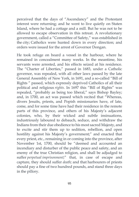perceived that the days of "Ascendancy" and the Protestant interest were returning; and he went to live quietly on Staten Island, where he had a cottage and a mill. But he was not to be allowed to escape observation in this retreat. A revolutionary government, called a "Committee of Safety," was established in the city; Catholics were hunted down in every direction; and orders were issued for the arrest of Governor Dongan.

He took refuge on board a vessel in the harbour, where he remained in concealment many weeks. In the meantime, his servants were arrested, and his effects seized at his residence. The "Charter of Liberties," passed in 1683, under a Catholic governor, was repealed, with all other laws passed by the late General Assembly of New York, in 1691, and a so-called "Bill of Rights " passed, which expressly deprived Catholics of all their political and religious *rights*. In 1697 this "Bill of Rights" was repealed, "probably as being too liberal," says Bishop Bayley; and, in 1700, an act was passed which recited that "Whereas, divers Jesuits, priests, and Popish missionaries have, of late, come, and for some time have had their residence in the remote parts of this province, and others of his Majesty's adjacent colonies, who, by their wicked and subtle insinuations, industriously laboured to debauch, seduce, and withdraw the Indians from their due obedience to his most sacred Majesty, and to excite and stir them up to sedition, rebellion, and open hostility against his Majesty's government;" and enacted that every priest, etc., remaining in or coming into the province, after November 1st, 1700, should be "deemed and accounted an incendiary and disturber of the public peace and safety, and an enemy of the true Christian religion, and shall be adjudged to suffer *perpetual imprisonment;*" that, in case of escape and capture, they should suffer *death;* and that harbourers of priests should pay a fine of two hundred pounds, and stand three days in the pillory.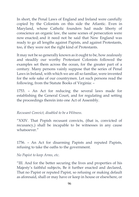In short, the Penal Laws of England and Ireland were carefully copied by the Colonists on this side the Atlantic. Even in Maryland, whose Catholic founders had made liberty of conscience an organic law, the same scenes of persecution were now enacted; and it need not be said that New England was ready to go all lengths against Papists, and against Protestants, too, if they were not the right kind of Protestants.

It may not be so generally known as it ought to be, how zealously and steadily our worthy Protestant Colonists followed the examples set them across the ocean, for the greater part of a century. Many persons vainly suppose that the series of Penal Laws in Ireland, with which we are all so familiar, were invented for the sole sake of our countrymen. Let such persons read the following, from the Statute Books of Virginia: –

1753. – An Act for reducing the several laws made for establishing the General Court, and for regulating and setting the proceedings therein into one Act of Assembly.

#### *Recusant Convict, disabled to be a Witness.*

"XXIV. That Popish recusant convicts, (that is, convicted of recusancy,) shall be incapable to be witnesses in any cause whatsoever."

1756. – An Act for disarming Papists and reputed Papists, refusing to take the oaths to the government.

#### *No Papist to keep Arms, etc.*

"III. And for the better securing the lives and properties of his Majesty's faithful subjects, Be it further enacted and declared, That no Papist or reputed Papist, so refusing or making default as aforesaid, shall or may have or keep in house or elsewhere, or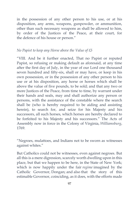in the possession of any other person to his use, or at his disposition, any arms, weapons, gunpowder, or ammunition, other than such necessary weapons as shall be allowed to him, by order of the Justices of the Peace, at their court, for the defence of his house or person."

#### *No Papist to keep any Horse above the Value of £5*

"VIII. And be it further enacted, That no Papist or reputed Papist, so refusing or making default as aforesaid, at any time after the first day of July, in the year of our Lord one thousand seven hundred and fifty-six, shall or may have, or keep in his own possession, or in the possession of any other person to his use or at his disposition, any horse or horses which shall be above the value of five pounds, to be sold; and that any two or more Justices of the Peace, from time to time, by warrant under their hands and seals, may and shall authorize any person or persons, with the assistance of the constable where the search shall be (who is hereby required to be aiding and assisting herein), to search for, and seize for his Majesty and his successors, all such horses, which horses are hereby declared to be forfeited to his Majesty and his successors." The Acts of Assembly now in force in the Colony of Virginia, *Williamsburg*, 1769.

"Negroes, mulattoes, and Indians not to be sworn as witnesses against whites."

But Catholics could not be witnesses, even against negroes. But all this is a mere digression, scarcely worth dwelling upon in this place, but that we happen to be here, in the State of New York; which is now happily under the fair *regime* imagined by the Catholic Governor, Dongan; and also that the story of this estimable Governor, coinciding, as it does, with the efforts made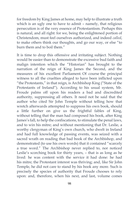for freedom by King James at home, may help to illustrate a truth which is an ugly one to have to admit – namely, that religious persecution is of the very essence of Protestantism. Perhaps this is natural, and all right: for we, being the enlightened portion of Christendom, must feel ourselves authorized, and indeed *called*, to make others think our thoughts, and go our way, or else "to burn them and to boil them."

It is time to drop this offensive and irritating subject. Nothing would be easier than to demonstrate the excessive bud faith and malign intention which the "Historian" has brought to the narration of the reign of King James the Second, and the measures of his excellent Parliament. Of course the principal witness to all the cruelties alleged to have been inflicted upon "the Protestants," in that reign, is Archbishop King ("State of the Protestants of Ireland"). According to his usual system, Mr. Froude palms off upon his readers a bad and discredited authority, suppressing all others. It need not be said that the author who cited Sir John Temple without telling how that wretch afterwards attempted to suppress his own book, should a little further on give us the frightful fables of King, without telling that the man had composed his book, after King James's fall, to help the confiscations, to stimulate the penal laws, and to win his mitre; and without mentioning that Dr. Leslie, a worthy clergyman of King's own church, who dwelt in Ireland and had full knowledge of passing events, was seized with a sacred wrath on reading that bad book of the Archbishop, and demonstrated (to use his own words) that it contained "scarcely a true word." The Archbishop never replied to, nor noticed Leslie's scorching book for thirty years, – that is as long as he lived: he was content with the service it had done: he had his mitre; the Protestant interest was thriving; and, like Sir John Temple, he did not care to stand by his book any more. Such is precisely the species of authority that Froude chooses to rely upon: and, therefore, when his next, and last, volume comes